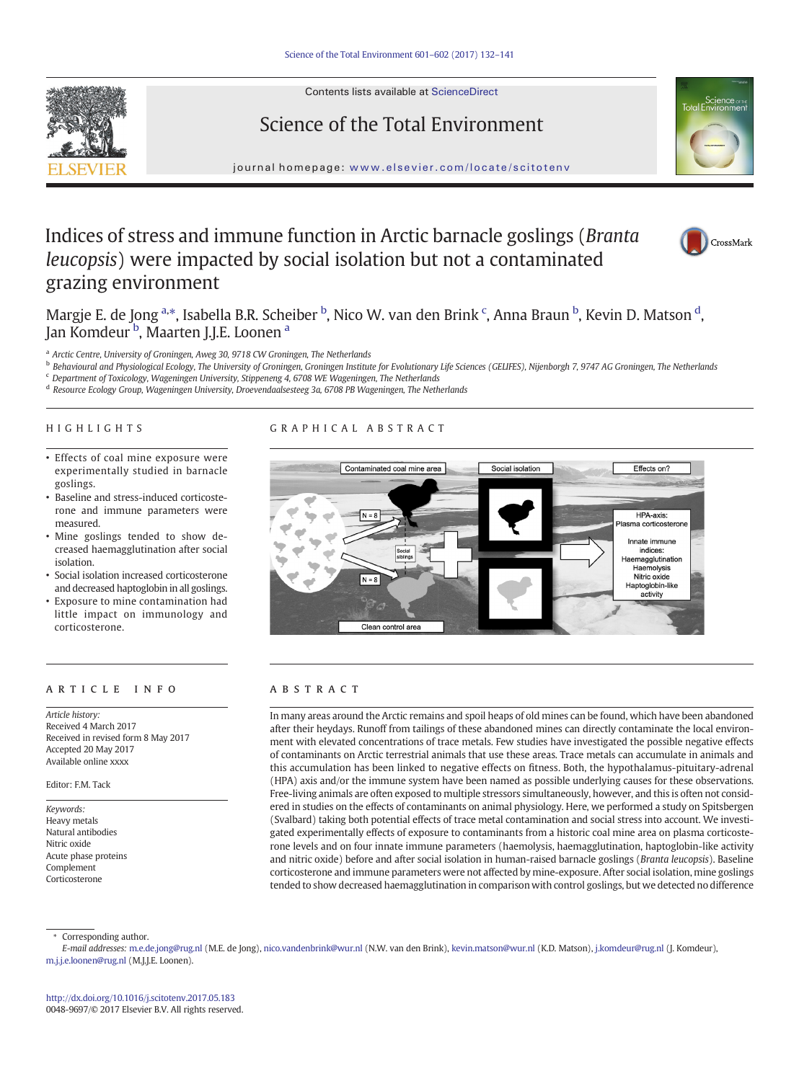Contents lists available at ScienceDirect

Science of the Total Environment





# journal homepage: <www.elsevier.com/locate/scitotenv>

# Indices of stress and immune function in Arctic barnacle goslings (Branta leucopsis) were impacted by social isolation but not a contaminated grazing environment



Margje E. de Jong <sup>a,\*</sup>, Isabella B.R. Scheiber <sup>b</sup>, Nico W. van den Brink <sup>c</sup>, Anna Braun <sup>b</sup>, Kevin D. Matson <sup>d</sup>, Jan Komdeur <sup>b</sup>, Maarten J.J.E. Loonen <sup>a</sup>

a Arctic Centre, University of Groningen, Aweg 30, 9718 CW Groningen, The Netherlands

b Behavioural and Physiological Ecology, The University of Groningen, Groningen Institute for Evolutionary Life Sciences (GELIFES), Nijenborgh 7, 9747 AG Groningen, The Netherlands

 $c$  Department of Toxicology, Wageningen University, Stippeneng 4, 6708 WE Wageningen, The Netherlands

d Resource Ecology Group, Wageningen University, Droevendaalsesteeg 3a, 6708 PB Wageningen, The Netherlands

# HIGHLIGHTS

# GRAPHICAL ABSTRACT

- Effects of coal mine exposure were experimentally studied in barnacle goslings.
- Baseline and stress-induced corticosterone and immune parameters were measured.
- Mine goslings tended to show decreased haemagglutination after social isolation.
- Social isolation increased corticosterone and decreased haptoglobin in all goslings.
- Exposure to mine contamination had little impact on immunology and corticosterone.

# article info abstract

Article history: Received 4 March 2017 Received in revised form 8 May 2017 Accepted 20 May 2017 Available online xxxx

Editor: F.M. Tack

Keywords: Heavy metals Natural antibodies Nitric oxide Acute phase proteins Complement Corticosterone



In many areas around the Arctic remains and spoil heaps of old mines can be found, which have been abandoned after their heydays. Runoff from tailings of these abandoned mines can directly contaminate the local environment with elevated concentrations of trace metals. Few studies have investigated the possible negative effects of contaminants on Arctic terrestrial animals that use these areas. Trace metals can accumulate in animals and this accumulation has been linked to negative effects on fitness. Both, the hypothalamus-pituitary-adrenal (HPA) axis and/or the immune system have been named as possible underlying causes for these observations. Free-living animals are often exposed to multiple stressors simultaneously, however, and this is often not considered in studies on the effects of contaminants on animal physiology. Here, we performed a study on Spitsbergen (Svalbard) taking both potential effects of trace metal contamination and social stress into account. We investigated experimentally effects of exposure to contaminants from a historic coal mine area on plasma corticosterone levels and on four innate immune parameters (haemolysis, haemagglutination, haptoglobin-like activity and nitric oxide) before and after social isolation in human-raised barnacle goslings (Branta leucopsis). Baseline corticosterone and immune parameters were not affected by mine-exposure. After social isolation, mine goslings tended to show decreased haemagglutination in comparison with control goslings, but we detected no difference

# Corresponding author.

E-mail addresses: m.e.de.jong@rug.nl (M.E. de Jong), nico.vandenbrink@wur.nl (N.W. van den Brink), kevin.matson@wur.nl (K.D. Matson), j.komdeur@rug.nl (J. Komdeur), [m.j.j.e.loonen@rug.nl](mailto:m.j.j.e.loonen@rug.nl) (M.J.J.E. Loonen).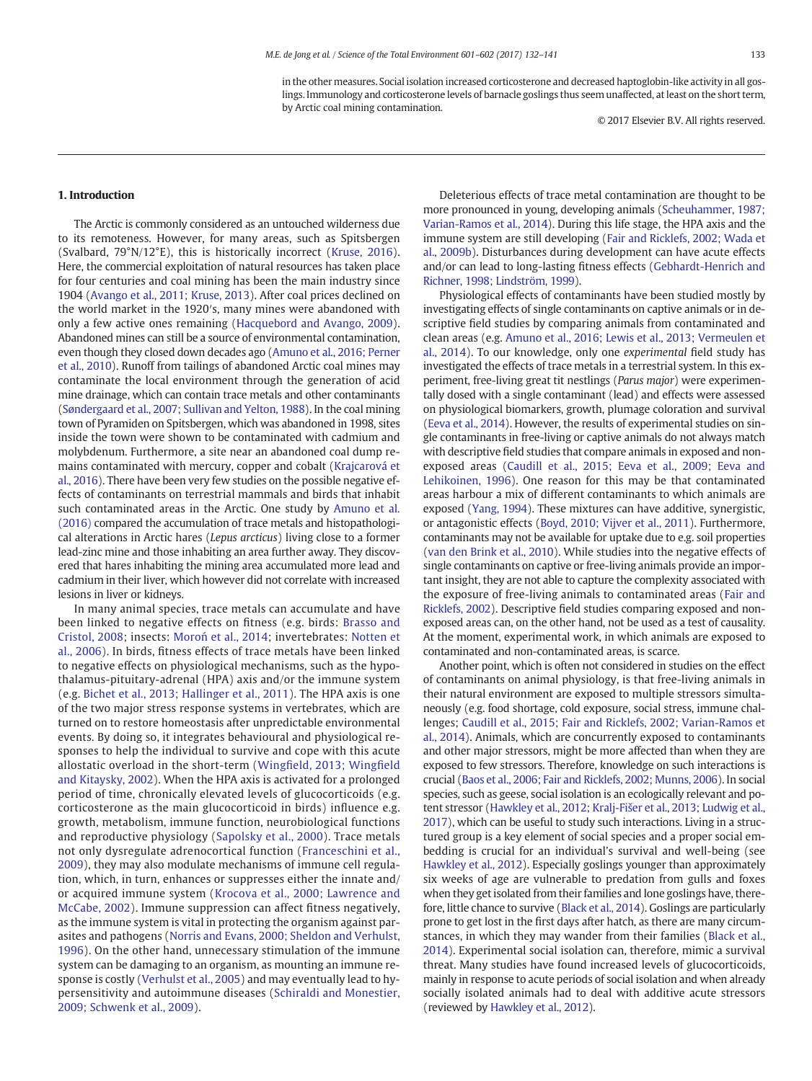in the other measures. Social isolation increased corticosterone and decreased haptoglobin-like activity in all goslings. Immunology and corticosterone levels of barnacle goslings thus seem unaffected, at least on the short term, by Arctic coal mining contamination.

© 2017 Elsevier B.V. All rights reserved.

# 1. Introduction

The Arctic is commonly considered as an untouched wilderness due to its remoteness. However, for many areas, such as Spitsbergen (Svalbard, 79°N/12°E), this is historically incorrect [\(Kruse, 2016](#page-8-0)). Here, the commercial exploitation of natural resources has taken place for four centuries and coal mining has been the main industry since 1904 [\(Avango et al., 2011; Kruse, 2013](#page-7-0)). After coal prices declined on the world market in the 1920′s, many mines were abandoned with only a few active ones remaining [\(Hacquebord and Avango, 2009](#page-8-0)). Abandoned mines can still be a source of environmental contamination, even though they closed down decades ago [\(Amuno et al., 2016; Perner](#page-7-0) [et al., 2010\)](#page-7-0). Runoff from tailings of abandoned Arctic coal mines may contaminate the local environment through the generation of acid mine drainage, which can contain trace metals and other contaminants [\(Søndergaard et al., 2007; Sullivan and Yelton, 1988\)](#page-9-0). In the coal mining town of Pyramiden on Spitsbergen, which was abandoned in 1998, sites inside the town were shown to be contaminated with cadmium and molybdenum. Furthermore, a site near an abandoned coal dump remains contaminated with mercury, copper and cobalt [\(Krajcarová et](#page-8-0) [al., 2016\)](#page-8-0). There have been very few studies on the possible negative effects of contaminants on terrestrial mammals and birds that inhabit such contaminated areas in the Arctic. One study by [Amuno et al.](#page-7-0) [\(2016\)](#page-7-0) compared the accumulation of trace metals and histopathological alterations in Arctic hares (Lepus arcticus) living close to a former lead-zinc mine and those inhabiting an area further away. They discovered that hares inhabiting the mining area accumulated more lead and cadmium in their liver, which however did not correlate with increased lesions in liver or kidneys.

In many animal species, trace metals can accumulate and have been linked to negative effects on fitness (e.g. birds: [Brasso and](#page-7-0) [Cristol, 2008;](#page-7-0) insects: Moroń [et al., 2014;](#page-8-0) invertebrates: [Notten et](#page-8-0) [al., 2006\)](#page-8-0). In birds, fitness effects of trace metals have been linked to negative effects on physiological mechanisms, such as the hypothalamus-pituitary-adrenal (HPA) axis and/or the immune system (e.g. [Bichet et al., 2013; Hallinger et al., 2011](#page-7-0)). The HPA axis is one of the two major stress response systems in vertebrates, which are turned on to restore homeostasis after unpredictable environmental events. By doing so, it integrates behavioural and physiological responses to help the individual to survive and cope with this acute allostatic overload in the short-term (Wingfi[eld, 2013; Wing](#page-9-0)field [and Kitaysky, 2002](#page-9-0)). When the HPA axis is activated for a prolonged period of time, chronically elevated levels of glucocorticoids (e.g. corticosterone as the main glucocorticoid in birds) influence e.g. growth, metabolism, immune function, neurobiological functions and reproductive physiology ([Sapolsky et al., 2000](#page-9-0)). Trace metals not only dysregulate adrenocortical function ([Franceschini et al.,](#page-8-0) [2009](#page-8-0)), they may also modulate mechanisms of immune cell regulation, which, in turn, enhances or suppresses either the innate and/ or acquired immune system ([Krocova et al., 2000; Lawrence and](#page-8-0) [McCabe, 2002\)](#page-8-0). Immune suppression can affect fitness negatively, as the immune system is vital in protecting the organism against parasites and pathogens [\(Norris and Evans, 2000; Sheldon and Verhulst,](#page-8-0) [1996](#page-8-0)). On the other hand, unnecessary stimulation of the immune system can be damaging to an organism, as mounting an immune response is costly [\(Verhulst et al., 2005](#page-9-0)) and may eventually lead to hypersensitivity and autoimmune diseases [\(Schiraldi and Monestier,](#page-9-0) [2009; Schwenk et al., 2009](#page-9-0)).

Deleterious effects of trace metal contamination are thought to be more pronounced in young, developing animals [\(Scheuhammer, 1987;](#page-9-0) [Varian-Ramos et al., 2014\)](#page-9-0). During this life stage, the HPA axis and the immune system are still developing [\(Fair and Ricklefs, 2002; Wada et](#page-8-0) [al., 2009b\)](#page-8-0). Disturbances during development can have acute effects and/or can lead to long-lasting fitness effects ([Gebhardt-Henrich and](#page-8-0) [Richner, 1998; Lindström, 1999\)](#page-8-0).

Physiological effects of contaminants have been studied mostly by investigating effects of single contaminants on captive animals or in descriptive field studies by comparing animals from contaminated and clean areas (e.g. [Amuno et al., 2016; Lewis et al., 2013; Vermeulen et](#page-7-0) [al., 2014\)](#page-7-0). To our knowledge, only one experimental field study has investigated the effects of trace metals in a terrestrial system. In this experiment, free-living great tit nestlings (Parus major) were experimentally dosed with a single contaminant (lead) and effects were assessed on physiological biomarkers, growth, plumage coloration and survival [\(Eeva et al., 2014](#page-8-0)). However, the results of experimental studies on single contaminants in free-living or captive animals do not always match with descriptive field studies that compare animals in exposed and nonexposed areas [\(Caudill et al., 2015; Eeva et al., 2009; Eeva and](#page-8-0) [Lehikoinen, 1996\)](#page-8-0). One reason for this may be that contaminated areas harbour a mix of different contaminants to which animals are exposed [\(Yang, 1994\)](#page-9-0). These mixtures can have additive, synergistic, or antagonistic effects [\(Boyd, 2010; Vijver et al., 2011\)](#page-7-0). Furthermore, contaminants may not be available for uptake due to e.g. soil properties [\(van den Brink et al., 2010](#page-7-0)). While studies into the negative effects of single contaminants on captive or free-living animals provide an important insight, they are not able to capture the complexity associated with the exposure of free-living animals to contaminated areas ([Fair and](#page-8-0) [Ricklefs, 2002](#page-8-0)). Descriptive field studies comparing exposed and nonexposed areas can, on the other hand, not be used as a test of causality. At the moment, experimental work, in which animals are exposed to contaminated and non-contaminated areas, is scarce.

Another point, which is often not considered in studies on the effect of contaminants on animal physiology, is that free-living animals in their natural environment are exposed to multiple stressors simultaneously (e.g. food shortage, cold exposure, social stress, immune challenges; [Caudill et al., 2015; Fair and Ricklefs, 2002; Varian-Ramos et](#page-8-0) [al., 2014](#page-8-0)). Animals, which are concurrently exposed to contaminants and other major stressors, might be more affected than when they are exposed to few stressors. Therefore, knowledge on such interactions is crucial [\(Baos et al., 2006; Fair and Ricklefs, 2002; Munns, 2006](#page-7-0)). In social species, such as geese, social isolation is an ecologically relevant and potent stressor [\(Hawkley et al., 2012; Kralj-Fi](#page-8-0)šer et al., 2013; Ludwig et al., [2017](#page-8-0)), which can be useful to study such interactions. Living in a structured group is a key element of social species and a proper social embedding is crucial for an individual's survival and well-being (see [Hawkley et al., 2012](#page-8-0)). Especially goslings younger than approximately six weeks of age are vulnerable to predation from gulls and foxes when they get isolated from their families and lone goslings have, therefore, little chance to survive ([Black et al., 2014\)](#page-7-0). Goslings are particularly prone to get lost in the first days after hatch, as there are many circumstances, in which they may wander from their families ([Black et al.,](#page-7-0) [2014\)](#page-7-0). Experimental social isolation can, therefore, mimic a survival threat. Many studies have found increased levels of glucocorticoids, mainly in response to acute periods of social isolation and when already socially isolated animals had to deal with additive acute stressors (reviewed by [Hawkley et al., 2012\)](#page-8-0).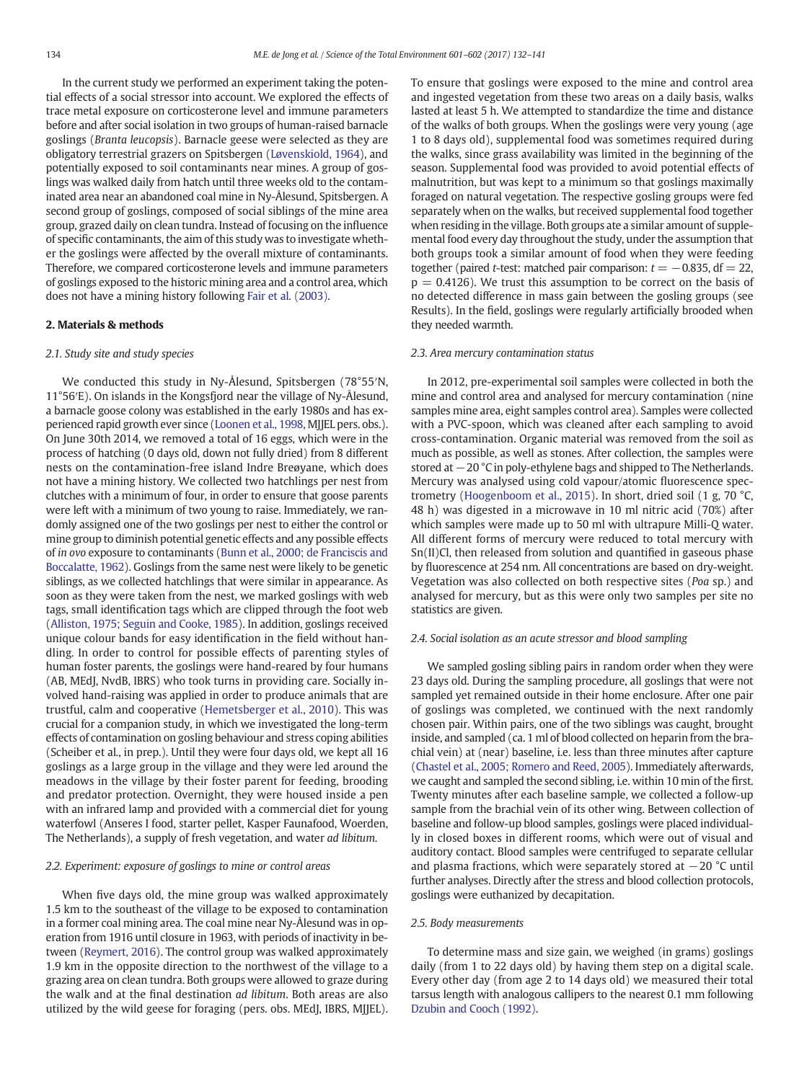In the current study we performed an experiment taking the potential effects of a social stressor into account. We explored the effects of trace metal exposure on corticosterone level and immune parameters before and after social isolation in two groups of human-raised barnacle goslings (Branta leucopsis). Barnacle geese were selected as they are obligatory terrestrial grazers on Spitsbergen ([Løvenskiold, 1964\)](#page-8-0), and potentially exposed to soil contaminants near mines. A group of goslings was walked daily from hatch until three weeks old to the contaminated area near an abandoned coal mine in Ny-Ålesund, Spitsbergen. A second group of goslings, composed of social siblings of the mine area group, grazed daily on clean tundra. Instead of focusing on the influence of specific contaminants, the aim of this study was to investigate whether the goslings were affected by the overall mixture of contaminants. Therefore, we compared corticosterone levels and immune parameters of goslings exposed to the historic mining area and a control area, which does not have a mining history following [Fair et al. \(2003\)](#page-8-0).

### 2. Materials & methods

# 2.1. Study site and study species

We conducted this study in Ny-Ålesund, Spitsbergen (78°55′N, 11°56′E). On islands in the Kongsfjord near the village of Ny-Ålesund, a barnacle goose colony was established in the early 1980s and has experienced rapid growth ever since ([Loonen et al., 1998](#page-8-0), MJJEL pers. obs.). On June 30th 2014, we removed a total of 16 eggs, which were in the process of hatching (0 days old, down not fully dried) from 8 different nests on the contamination-free island Indre Breøyane, which does not have a mining history. We collected two hatchlings per nest from clutches with a minimum of four, in order to ensure that goose parents were left with a minimum of two young to raise. Immediately, we randomly assigned one of the two goslings per nest to either the control or mine group to diminish potential genetic effects and any possible effects of in ovo exposure to contaminants [\(Bunn et al., 2000; de Franciscis and](#page-8-0) [Boccalatte, 1962](#page-8-0)). Goslings from the same nest were likely to be genetic siblings, as we collected hatchlings that were similar in appearance. As soon as they were taken from the nest, we marked goslings with web tags, small identification tags which are clipped through the foot web [\(Alliston, 1975; Seguin and Cooke, 1985\)](#page-7-0). In addition, goslings received unique colour bands for easy identification in the field without handling. In order to control for possible effects of parenting styles of human foster parents, the goslings were hand-reared by four humans (AB, MEdJ, NvdB, IBRS) who took turns in providing care. Socially involved hand-raising was applied in order to produce animals that are trustful, calm and cooperative [\(Hemetsberger et al., 2010](#page-8-0)). This was crucial for a companion study, in which we investigated the long-term effects of contamination on gosling behaviour and stress coping abilities (Scheiber et al., in prep.). Until they were four days old, we kept all 16 goslings as a large group in the village and they were led around the meadows in the village by their foster parent for feeding, brooding and predator protection. Overnight, they were housed inside a pen with an infrared lamp and provided with a commercial diet for young waterfowl (Anseres I food, starter pellet, Kasper Faunafood, Woerden, The Netherlands), a supply of fresh vegetation, and water ad libitum.

#### 2.2. Experiment: exposure of goslings to mine or control areas

When five days old, the mine group was walked approximately 1.5 km to the southeast of the village to be exposed to contamination in a former coal mining area. The coal mine near Ny-Ålesund was in operation from 1916 until closure in 1963, with periods of inactivity in between ([Reymert, 2016](#page-9-0)). The control group was walked approximately 1.9 km in the opposite direction to the northwest of the village to a grazing area on clean tundra. Both groups were allowed to graze during the walk and at the final destination ad libitum. Both areas are also utilized by the wild geese for foraging (pers. obs. MEdJ, IBRS, MJJEL). To ensure that goslings were exposed to the mine and control area and ingested vegetation from these two areas on a daily basis, walks lasted at least 5 h. We attempted to standardize the time and distance of the walks of both groups. When the goslings were very young (age 1 to 8 days old), supplemental food was sometimes required during the walks, since grass availability was limited in the beginning of the season. Supplemental food was provided to avoid potential effects of malnutrition, but was kept to a minimum so that goslings maximally foraged on natural vegetation. The respective gosling groups were fed separately when on the walks, but received supplemental food together when residing in the village. Both groups ate a similar amount of supplemental food every day throughout the study, under the assumption that both groups took a similar amount of food when they were feeding together (paired t-test: matched pair comparison:  $t = -0.835$ , df = 22,  $p = 0.4126$ ). We trust this assumption to be correct on the basis of no detected difference in mass gain between the gosling groups (see Results). In the field, goslings were regularly artificially brooded when they needed warmth.

#### 2.3. Area mercury contamination status

In 2012, pre-experimental soil samples were collected in both the mine and control area and analysed for mercury contamination (nine samples mine area, eight samples control area). Samples were collected with a PVC-spoon, which was cleaned after each sampling to avoid cross-contamination. Organic material was removed from the soil as much as possible, as well as stones. After collection, the samples were stored at −20 °C in poly-ethylene bags and shipped to The Netherlands. Mercury was analysed using cold vapour/atomic fluorescence spectrometry ([Hoogenboom et al., 2015](#page-8-0)). In short, dried soil (1 g, 70 °C, 48 h) was digested in a microwave in 10 ml nitric acid (70%) after which samples were made up to 50 ml with ultrapure Milli-Q water. All different forms of mercury were reduced to total mercury with Sn(II)Cl, then released from solution and quantified in gaseous phase by fluorescence at 254 nm. All concentrations are based on dry-weight. Vegetation was also collected on both respective sites (Poa sp.) and analysed for mercury, but as this were only two samples per site no statistics are given.

### 2.4. Social isolation as an acute stressor and blood sampling

We sampled gosling sibling pairs in random order when they were 23 days old. During the sampling procedure, all goslings that were not sampled yet remained outside in their home enclosure. After one pair of goslings was completed, we continued with the next randomly chosen pair. Within pairs, one of the two siblings was caught, brought inside, and sampled (ca. 1 ml of blood collected on heparin from the brachial vein) at (near) baseline, i.e. less than three minutes after capture [\(Chastel et al., 2005; Romero and Reed, 2005](#page-8-0)). Immediately afterwards, we caught and sampled the second sibling, i.e. within 10 min of the first. Twenty minutes after each baseline sample, we collected a follow-up sample from the brachial vein of its other wing. Between collection of baseline and follow-up blood samples, goslings were placed individually in closed boxes in different rooms, which were out of visual and auditory contact. Blood samples were centrifuged to separate cellular and plasma fractions, which were separately stored at  $-20$  °C until further analyses. Directly after the stress and blood collection protocols, goslings were euthanized by decapitation.

#### 2.5. Body measurements

To determine mass and size gain, we weighed (in grams) goslings daily (from 1 to 22 days old) by having them step on a digital scale. Every other day (from age 2 to 14 days old) we measured their total tarsus length with analogous callipers to the nearest 0.1 mm following [Dzubin and Cooch \(1992\)](#page-8-0).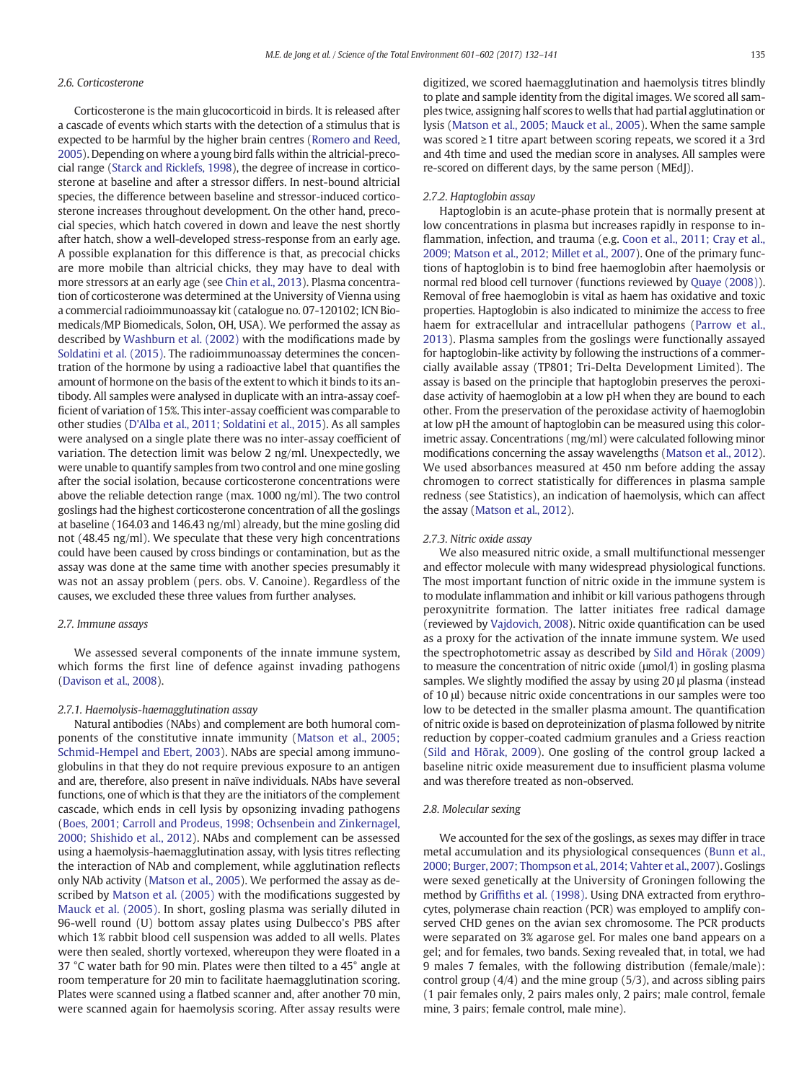# 2.6. Corticosterone

Corticosterone is the main glucocorticoid in birds. It is released after a cascade of events which starts with the detection of a stimulus that is expected to be harmful by the higher brain centres ([Romero and Reed,](#page-9-0) [2005](#page-9-0)). Depending on where a young bird falls within the altricial-precocial range [\(Starck and Ricklefs, 1998](#page-9-0)), the degree of increase in corticosterone at baseline and after a stressor differs. In nest-bound altricial species, the difference between baseline and stressor-induced corticosterone increases throughout development. On the other hand, precocial species, which hatch covered in down and leave the nest shortly after hatch, show a well-developed stress-response from an early age. A possible explanation for this difference is that, as precocial chicks are more mobile than altricial chicks, they may have to deal with more stressors at an early age (see [Chin et al., 2013](#page-8-0)). Plasma concentration of corticosterone was determined at the University of Vienna using a commercial radioimmunoassay kit (catalogue no. 07-120102; ICN Biomedicals/MP Biomedicals, Solon, OH, USA). We performed the assay as described by [Washburn et al. \(2002\)](#page-9-0) with the modifications made by [Soldatini et al. \(2015\).](#page-9-0) The radioimmunoassay determines the concentration of the hormone by using a radioactive label that quantifies the amount of hormone on the basis of the extent to which it binds to its antibody. All samples were analysed in duplicate with an intra-assay coefficient of variation of 15%. This inter-assay coefficient was comparable to other studies ([D'Alba et al., 2011; Soldatini et al., 2015\)](#page-8-0). As all samples were analysed on a single plate there was no inter-assay coefficient of variation. The detection limit was below 2 ng/ml. Unexpectedly, we were unable to quantify samples from two control and one mine gosling after the social isolation, because corticosterone concentrations were above the reliable detection range (max. 1000 ng/ml). The two control goslings had the highest corticosterone concentration of all the goslings at baseline (164.03 and 146.43 ng/ml) already, but the mine gosling did not (48.45 ng/ml). We speculate that these very high concentrations could have been caused by cross bindings or contamination, but as the assay was done at the same time with another species presumably it was not an assay problem (pers. obs. V. Canoine). Regardless of the causes, we excluded these three values from further analyses.

#### 2.7. Immune assays

We assessed several components of the innate immune system, which forms the first line of defence against invading pathogens [\(Davison et al., 2008](#page-8-0)).

#### 2.7.1. Haemolysis-haemagglutination assay

Natural antibodies (NAbs) and complement are both humoral components of the constitutive innate immunity ([Matson et al., 2005;](#page-8-0) [Schmid-Hempel and Ebert, 2003\)](#page-8-0). NAbs are special among immunoglobulins in that they do not require previous exposure to an antigen and are, therefore, also present in naïve individuals. NAbs have several functions, one of which is that they are the initiators of the complement cascade, which ends in cell lysis by opsonizing invading pathogens [\(Boes, 2001; Carroll and Prodeus, 1998; Ochsenbein and Zinkernagel,](#page-7-0) [2000; Shishido et al., 2012\)](#page-7-0). NAbs and complement can be assessed using a haemolysis-haemagglutination assay, with lysis titres reflecting the interaction of NAb and complement, while agglutination reflects only NAb activity [\(Matson et al., 2005](#page-8-0)). We performed the assay as described by [Matson et al. \(2005\)](#page-8-0) with the modifications suggested by [Mauck et al. \(2005\).](#page-8-0) In short, gosling plasma was serially diluted in 96-well round (U) bottom assay plates using Dulbecco's PBS after which 1% rabbit blood cell suspension was added to all wells. Plates were then sealed, shortly vortexed, whereupon they were floated in a 37 °C water bath for 90 min. Plates were then tilted to a 45° angle at room temperature for 20 min to facilitate haemagglutination scoring. Plates were scanned using a flatbed scanner and, after another 70 min, were scanned again for haemolysis scoring. After assay results were digitized, we scored haemagglutination and haemolysis titres blindly to plate and sample identity from the digital images. We scored all samples twice, assigning half scores to wells that had partial agglutination or lysis ([Matson et al., 2005; Mauck et al., 2005\)](#page-8-0). When the same sample was scored ≥1 titre apart between scoring repeats, we scored it a 3rd and 4th time and used the median score in analyses. All samples were re-scored on different days, by the same person (MEdJ).

# 2.7.2. Haptoglobin assay

Haptoglobin is an acute-phase protein that is normally present at low concentrations in plasma but increases rapidly in response to inflammation, infection, and trauma (e.g. [Coon et al., 2011; Cray et al.,](#page-8-0) [2009; Matson et al., 2012; Millet et al., 2007](#page-8-0)). One of the primary functions of haptoglobin is to bind free haemoglobin after haemolysis or normal red blood cell turnover (functions reviewed by [Quaye \(2008\)](#page-9-0)). Removal of free haemoglobin is vital as haem has oxidative and toxic properties. Haptoglobin is also indicated to minimize the access to free haem for extracellular and intracellular pathogens [\(Parrow et al.,](#page-9-0) [2013\)](#page-9-0). Plasma samples from the goslings were functionally assayed for haptoglobin-like activity by following the instructions of a commercially available assay (TP801; Tri-Delta Development Limited). The assay is based on the principle that haptoglobin preserves the peroxidase activity of haemoglobin at a low pH when they are bound to each other. From the preservation of the peroxidase activity of haemoglobin at low pH the amount of haptoglobin can be measured using this colorimetric assay. Concentrations (mg/ml) were calculated following minor modifications concerning the assay wavelengths ([Matson et al., 2012](#page-8-0)). We used absorbances measured at 450 nm before adding the assay chromogen to correct statistically for differences in plasma sample redness (see Statistics), an indication of haemolysis, which can affect the assay ([Matson et al., 2012\)](#page-8-0).

#### 2.7.3. Nitric oxide assay

We also measured nitric oxide, a small multifunctional messenger and effector molecule with many widespread physiological functions. The most important function of nitric oxide in the immune system is to modulate inflammation and inhibit or kill various pathogens through peroxynitrite formation. The latter initiates free radical damage (reviewed by [Vajdovich, 2008](#page-9-0)). Nitric oxide quantification can be used as a proxy for the activation of the innate immune system. We used the spectrophotometric assay as described by [Sild and Hõrak \(2009\)](#page-9-0) to measure the concentration of nitric oxide (μmol/l) in gosling plasma samples. We slightly modified the assay by using 20 μl plasma (instead of 10 μl) because nitric oxide concentrations in our samples were too low to be detected in the smaller plasma amount. The quantification of nitric oxide is based on deproteinization of plasma followed by nitrite reduction by copper-coated cadmium granules and a Griess reaction [\(Sild and Hõrak, 2009](#page-9-0)). One gosling of the control group lacked a baseline nitric oxide measurement due to insufficient plasma volume and was therefore treated as non-observed.

# 2.8. Molecular sexing

We accounted for the sex of the goslings, as sexes may differ in trace metal accumulation and its physiological consequences [\(Bunn et al.,](#page-8-0) [2000; Burger, 2007; Thompson et al., 2014; Vahter et al., 2007\)](#page-8-0). Goslings were sexed genetically at the University of Groningen following the method by Griffi[ths et al. \(1998\)](#page-8-0). Using DNA extracted from erythrocytes, polymerase chain reaction (PCR) was employed to amplify conserved CHD genes on the avian sex chromosome. The PCR products were separated on 3% agarose gel. For males one band appears on a gel; and for females, two bands. Sexing revealed that, in total, we had 9 males 7 females, with the following distribution (female/male): control group (4/4) and the mine group (5/3), and across sibling pairs (1 pair females only, 2 pairs males only, 2 pairs; male control, female mine, 3 pairs; female control, male mine).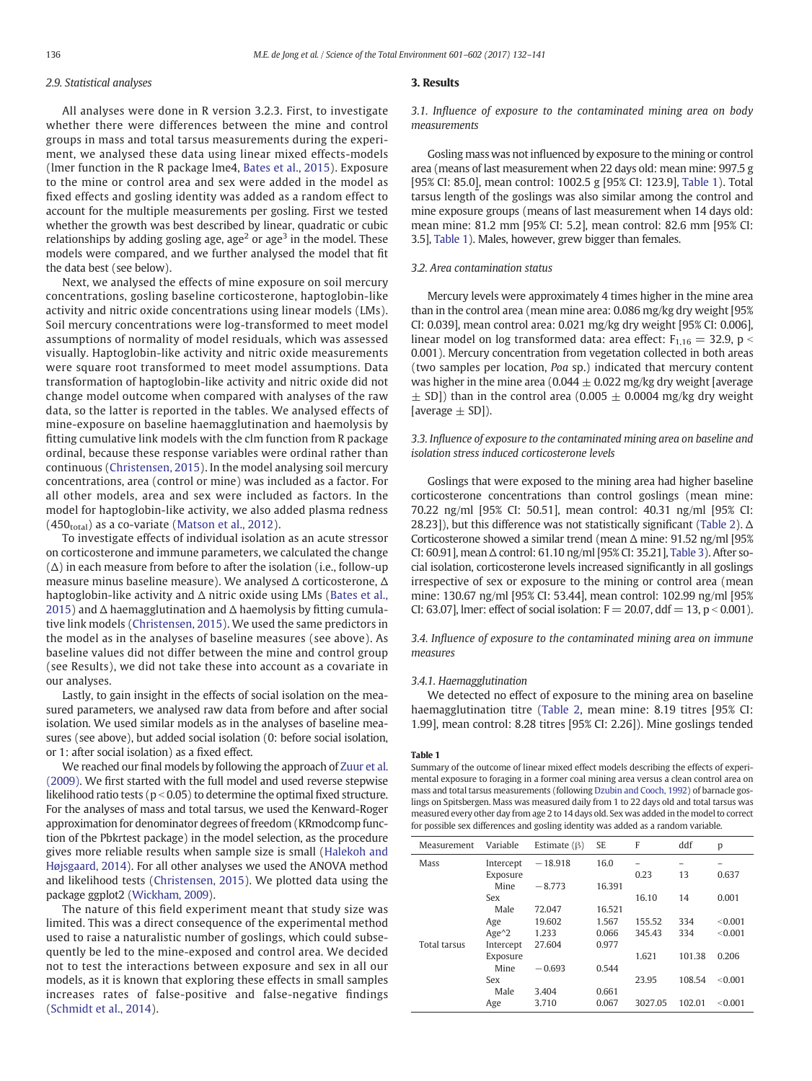# 2.9. Statistical analyses

All analyses were done in R version 3.2.3. First, to investigate whether there were differences between the mine and control groups in mass and total tarsus measurements during the experiment, we analysed these data using linear mixed effects-models (lmer function in the R package lme4, [Bates et al., 2015](#page-7-0)). Exposure to the mine or control area and sex were added in the model as fixed effects and gosling identity was added as a random effect to account for the multiple measurements per gosling. First we tested whether the growth was best described by linear, quadratic or cubic relationships by adding gosling age, age<sup>2</sup> or age<sup>3</sup> in the model. These models were compared, and we further analysed the model that fit the data best (see below).

Next, we analysed the effects of mine exposure on soil mercury concentrations, gosling baseline corticosterone, haptoglobin-like activity and nitric oxide concentrations using linear models (LMs). Soil mercury concentrations were log-transformed to meet model assumptions of normality of model residuals, which was assessed visually. Haptoglobin-like activity and nitric oxide measurements were square root transformed to meet model assumptions. Data transformation of haptoglobin-like activity and nitric oxide did not change model outcome when compared with analyses of the raw data, so the latter is reported in the tables. We analysed effects of mine-exposure on baseline haemagglutination and haemolysis by fitting cumulative link models with the clm function from R package ordinal, because these response variables were ordinal rather than continuous ([Christensen, 2015\)](#page-8-0). In the model analysing soil mercury concentrations, area (control or mine) was included as a factor. For all other models, area and sex were included as factors. In the model for haptoglobin-like activity, we also added plasma redness  $(450<sub>total</sub>)$  as a co-variate ([Matson et al., 2012\)](#page-8-0).

To investigate effects of individual isolation as an acute stressor on corticosterone and immune parameters, we calculated the change  $(\Delta)$  in each measure from before to after the isolation (i.e., follow-up measure minus baseline measure). We analysed Δ corticosterone, Δ haptoglobin-like activity and Δ nitric oxide using LMs [\(Bates et al.,](#page-7-0) [2015](#page-7-0)) and  $\Delta$  haemagglutination and  $\Delta$  haemolysis by fitting cumulative link models [\(Christensen, 2015](#page-8-0)). We used the same predictors in the model as in the analyses of baseline measures (see above). As baseline values did not differ between the mine and control group (see Results), we did not take these into account as a covariate in our analyses.

Lastly, to gain insight in the effects of social isolation on the measured parameters, we analysed raw data from before and after social isolation. We used similar models as in the analyses of baseline measures (see above), but added social isolation (0: before social isolation, or 1: after social isolation) as a fixed effect.

We reached our final models by following the approach of [Zuur et al.](#page-9-0) [\(2009\)](#page-9-0). We first started with the full model and used reverse stepwise likelihood ratio tests ( $p < 0.05$ ) to determine the optimal fixed structure. For the analyses of mass and total tarsus, we used the Kenward-Roger approximation for denominator degrees of freedom (KRmodcomp function of the Pbkrtest package) in the model selection, as the procedure gives more reliable results when sample size is small ([Halekoh and](#page-8-0) [Højsgaard, 2014\)](#page-8-0). For all other analyses we used the ANOVA method and likelihood tests ([Christensen, 2015](#page-8-0)). We plotted data using the package ggplot2 [\(Wickham, 2009\)](#page-9-0).

The nature of this field experiment meant that study size was limited. This was a direct consequence of the experimental method used to raise a naturalistic number of goslings, which could subsequently be led to the mine-exposed and control area. We decided not to test the interactions between exposure and sex in all our models, as it is known that exploring these effects in small samples increases rates of false-positive and false-negative findings [\(Schmidt et al., 2014](#page-9-0)).

#### 3. Results

3.1. Influence of exposure to the contaminated mining area on body measurements

Gosling mass was not influenced by exposure to the mining or control area (means of last measurement when 22 days old: mean mine: 997.5 g [95% CI: 85.0], mean control: 1002.5 g [95% CI: 123.9], Table 1). Total tarsus length of the goslings was also similar among the control and mine exposure groups (means of last measurement when 14 days old: mean mine: 81.2 mm [95% CI: 5.2], mean control: 82.6 mm [95% CI: 3.5], Table 1). Males, however, grew bigger than females.

# 3.2. Area contamination status

Mercury levels were approximately 4 times higher in the mine area than in the control area (mean mine area: 0.086 mg/kg dry weight [95% CI: 0.039], mean control area: 0.021 mg/kg dry weight [95% CI: 0.006], linear model on log transformed data: area effect:  $F_{1,16} = 32.9$ , p < 0.001). Mercury concentration from vegetation collected in both areas (two samples per location, Poa sp.) indicated that mercury content was higher in the mine area (0.044  $\pm$  0.022 mg/kg dry weight [average]  $\pm$  SD]) than in the control area (0.005  $\pm$  0.0004 mg/kg dry weight [average  $\pm$  SD]).

# 3.3. Influence of exposure to the contaminated mining area on baseline and isolation stress induced corticosterone levels

Goslings that were exposed to the mining area had higher baseline corticosterone concentrations than control goslings (mean mine: 70.22 ng/ml [95% CI: 50.51], mean control: 40.31 ng/ml [95% CI: 28.23]), but this difference was not statistically significant [\(Table 2\)](#page-5-0).  $\Delta$ Corticosterone showed a similar trend (mean Δ mine: 91.52 ng/ml [95% CI: 60.91], mean Δ control: 61.10 ng/ml [95% CI: 35.21], [Table 3\)](#page-5-0). After social isolation, corticosterone levels increased significantly in all goslings irrespective of sex or exposure to the mining or control area (mean mine: 130.67 ng/ml [95% CI: 53.44], mean control: 102.99 ng/ml [95% CI: 63.07], lmer: effect of social isolation:  $F = 20.07$ , ddf = 13, p < 0.001).

3.4. Influence of exposure to the contaminated mining area on immune measures

#### 3.4.1. Haemagglutination

We detected no effect of exposure to the mining area on baseline haemagglutination titre ([Table 2,](#page-5-0) mean mine: 8.19 titres [95% CI: 1.99], mean control: 8.28 titres [95% CI: 2.26]). Mine goslings tended

#### Table 1

Summary of the outcome of linear mixed effect models describing the effects of experimental exposure to foraging in a former coal mining area versus a clean control area on mass and total tarsus measurements (following [Dzubin and Cooch, 1992](#page-8-0)) of barnacle goslings on Spitsbergen. Mass was measured daily from 1 to 22 days old and total tarsus was measured every other day from age 2 to 14 days old. Sex was added in the model to correct for possible sex differences and gosling identity was added as a random variable.

| Measurement         | Variable  | Estimate $(\beta)$ | <b>SE</b> | F       | ddf    | p       |
|---------------------|-----------|--------------------|-----------|---------|--------|---------|
| Mass                | Intercept | $-18.918$          | 16.0      |         |        | -       |
|                     | Exposure  |                    |           | 0.23    | 13     | 0.637   |
|                     | Mine      | $-8.773$           | 16.391    |         |        |         |
|                     | Sex       |                    |           | 16.10   | 14     | 0.001   |
|                     | Male      | 72.047             | 16.521    |         |        |         |
|                     | Age       | 19.602             | 1.567     | 155.52  | 334    | < 0.001 |
|                     | $Age^2$   | 1.233              | 0.066     | 345.43  | 334    | < 0.001 |
| <b>Total tarsus</b> | Intercept | 27.604             | 0.977     |         |        |         |
|                     | Exposure  |                    |           | 1.621   | 101.38 | 0.206   |
|                     | Mine      | $-0.693$           | 0.544     |         |        |         |
|                     | Sex       |                    |           | 23.95   | 108.54 | < 0.001 |
|                     | Male      | 3.404              | 0.661     |         |        |         |
|                     | Age       | 3.710              | 0.067     | 3027.05 | 102.01 | < 0.001 |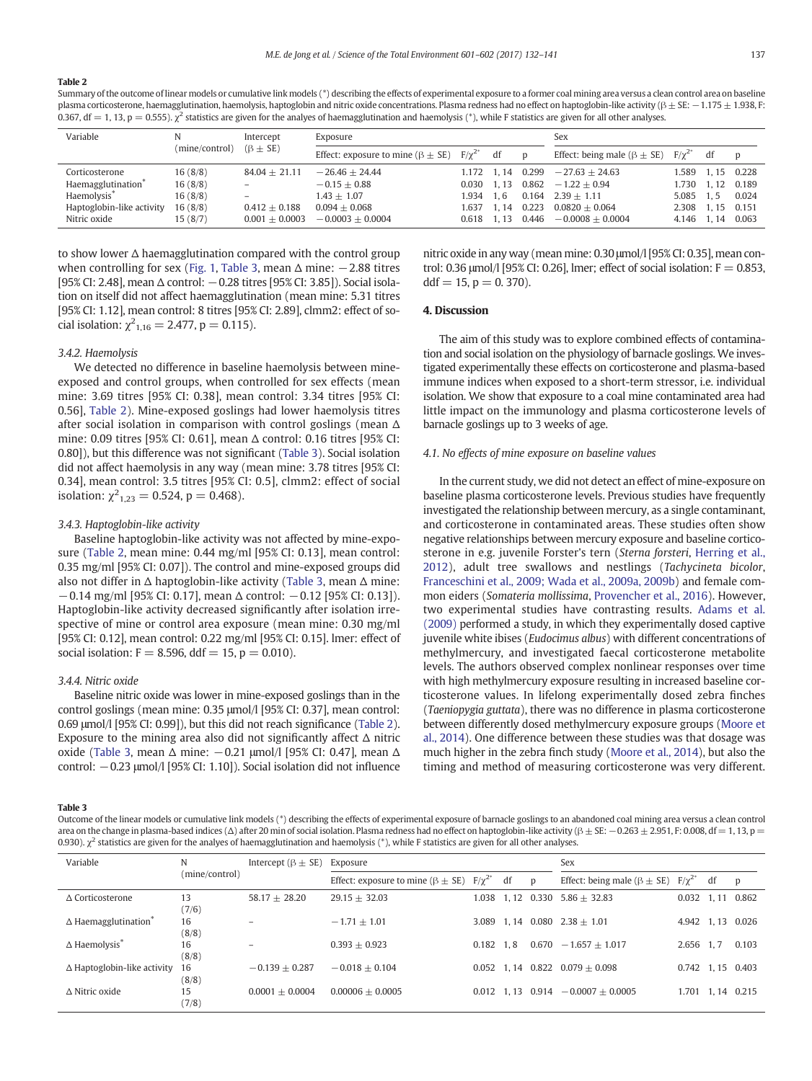#### <span id="page-5-0"></span>Table 2

Summary of the outcome of linear models or cumulative link models (\*) describing the effects of experimental exposure to a former coal mining area versus a clean control area on baseline plasma corticosterone, haemagglutination, haemolysis, haptoglobin and nitric oxide concentrations. Plasma redness had no effect on haptoglobin-like activity (β + SE: -1.175 + 1.938, F: 0.367, df = 1, 13, p = 0.555).  $\chi^2$  statistics are given for the analyes of haemagglutination and haemolysis (\*), while F statistics are given for all other analyses.

| Variable                       | N              | Intercept        | Exposure                                                  |       |                    |       | Sex                                   |                  |    |            |
|--------------------------------|----------------|------------------|-----------------------------------------------------------|-------|--------------------|-------|---------------------------------------|------------------|----|------------|
|                                | (mine/control) | $(\beta \pm SE)$ | Effect: exposure to mine ( $\beta \pm SE$ ) $F/\chi^{2*}$ |       | df                 |       | Effect: being male ( $\beta \pm SE$ ) | $F/\gamma^{2*}$  | df | D          |
| Corticosterone                 | 16(8/8)        | $84.04 + 21.11$  | $-26.46 + 24.44$                                          |       | 1.172 1.14         |       | $0.299 -27.63 + 24.63$                | 1.589            |    | 1.15 0.228 |
| Haemagglutination <sup>*</sup> | 16(8/8)        |                  | $-0.15 + 0.88$                                            |       | $0.030 \quad 1.13$ | 0.862 | $-1.22 + 0.94$                        | 1.730            |    | 1.12 0.189 |
| Haemolysis*                    | 16(8/8)        |                  | $1.43 + 1.07$                                             | 1.934 | 1.6                | 0.164 | $2.39 + 1.11$                         | 5.085 1.5        |    | 0.024      |
| Haptoglobin-like activity      | 16(8/8)        | $0.412 + 0.188$  | $0.094 + 0.068$                                           | 1.637 | 1.14               | 0.223 | $0.0820 + 0.064$                      | 2.308            |    | 1.15 0.151 |
| Nitric oxide                   | 15(8/7)        | $0.001 + 0.0003$ | $-0.0003 + 0.0004$                                        | 0.618 | 1.13               |       | $0.446 - 0.0008 + 0.0004$             | 4.146 1.14 0.063 |    |            |

to show lower Δ haemagglutination compared with the control group when controlling for sex ([Fig. 1](#page-6-0), Table 3, mean  $\Delta$  mine:  $-2.88$  titres [95% CI: 2.48], mean ∆ control: −0.28 titres [95% CI: 3.85]). Social isolation on itself did not affect haemagglutination (mean mine: 5.31 titres [95% CI: 1.12], mean control: 8 titres [95% CI: 2.89], clmm2: effect of social isolation:  $\chi^2_{1,16} = 2.477$ , p = 0.115).

#### 3.4.2. Haemolysis

We detected no difference in baseline haemolysis between mineexposed and control groups, when controlled for sex effects (mean mine: 3.69 titres [95% CI: 0.38], mean control: 3.34 titres [95% CI: 0.56], Table 2). Mine-exposed goslings had lower haemolysis titres after social isolation in comparison with control goslings (mean Δ mine: 0.09 titres [95% CI: 0.61], mean Δ control: 0.16 titres [95% CI: 0.80]), but this difference was not significant (Table 3). Social isolation did not affect haemolysis in any way (mean mine: 3.78 titres [95% CI: 0.34], mean control: 3.5 titres [95% CI: 0.5], clmm2: effect of social isolation:  $\chi^2_{1,23} = 0.524$ , p = 0.468).

#### 3.4.3. Haptoglobin-like activity

Baseline haptoglobin-like activity was not affected by mine-exposure (Table 2, mean mine: 0.44 mg/ml [95% CI: 0.13], mean control: 0.35 mg/ml [95% CI: 0.07]). The control and mine-exposed groups did also not differ in Δ haptoglobin-like activity (Table 3, mean Δ mine: −0.14 mg/ml [95% CI: 0.17], mean Δ control: −0.12 [95% CI: 0.13]). Haptoglobin-like activity decreased significantly after isolation irrespective of mine or control area exposure (mean mine: 0.30 mg/ml [95% CI: 0.12], mean control: 0.22 mg/ml [95% CI: 0.15]. lmer: effect of social isolation:  $F = 8.596$ , ddf = 15, p = 0.010).

#### 3.4.4. Nitric oxide

Baseline nitric oxide was lower in mine-exposed goslings than in the control goslings (mean mine: 0.35 μmol/l [95% CI: 0.37], mean control: 0.69 μmol/l [95% CI: 0.99]), but this did not reach significance (Table 2). Exposure to the mining area also did not significantly affect  $\Delta$  nitric oxide (Table 3, mean Δ mine: -0.21 μmol/l [95% CI: 0.47], mean Δ control: −0.23 μmol/l [95% CI: 1.10]). Social isolation did not influence nitric oxide in any way (mean mine: 0.30 μmol/l [95% CI: 0.35], mean control: 0.36  $\mu$ mol/l [95% CI: 0.26], lmer; effect of social isolation:  $F = 0.853$ .  $ddf = 15$ ,  $p = 0.370$ ).

# 4. Discussion

The aim of this study was to explore combined effects of contamination and social isolation on the physiology of barnacle goslings. We investigated experimentally these effects on corticosterone and plasma-based immune indices when exposed to a short-term stressor, i.e. individual isolation. We show that exposure to a coal mine contaminated area had little impact on the immunology and plasma corticosterone levels of barnacle goslings up to 3 weeks of age.

# 4.1. No effects of mine exposure on baseline values

In the current study, we did not detect an effect of mine-exposure on baseline plasma corticosterone levels. Previous studies have frequently investigated the relationship between mercury, as a single contaminant, and corticosterone in contaminated areas. These studies often show negative relationships between mercury exposure and baseline corticosterone in e.g. juvenile Forster's tern (Sterna forsteri, [Herring et al.,](#page-8-0) [2012\)](#page-8-0), adult tree swallows and nestlings (Tachycineta bicolor, [Franceschini et al., 2009; Wada et al., 2009a, 2009b](#page-8-0)) and female common eiders (Somateria mollissima, [Provencher et al., 2016](#page-9-0)). However, two experimental studies have contrasting results. [Adams et al.](#page-7-0) [\(2009\)](#page-7-0) performed a study, in which they experimentally dosed captive juvenile white ibises (Eudocimus albus) with different concentrations of methylmercury, and investigated faecal corticosterone metabolite levels. The authors observed complex nonlinear responses over time with high methylmercury exposure resulting in increased baseline corticosterone values. In lifelong experimentally dosed zebra finches (Taeniopygia guttata), there was no difference in plasma corticosterone between differently dosed methylmercury exposure groups [\(Moore et](#page-8-0) [al., 2014\)](#page-8-0). One difference between these studies was that dosage was much higher in the zebra finch study [\(Moore et al., 2014](#page-8-0)), but also the timing and method of measuring corticosterone was very different.

#### Table 3

Outcome of the linear models or cumulative link models (\*) describing the effects of experimental exposure of barnacle goslings to an abandoned coal mining area versus a clean control area on the change in plasma-based indices ( $\Delta$ ) after 20 min of social isolation. Plasma redness had no effect on haptoglobin-like activity ( $\beta \pm \text{SE}$ : -0.263  $\pm$  2.951, F: 0.008, df = 1, 13, p = 0.930).  $χ<sup>2</sup>$  statistics are given for the analyes of haemagglutination and haemolysis (\*), while F statistics are given for all other analyses.

| Variable                           | N<br>Intercept ( $\beta \pm SE$ ) |                   | Exposure                                                  |                    |      |       | Sex                                                 |                   |       |                   |
|------------------------------------|-----------------------------------|-------------------|-----------------------------------------------------------|--------------------|------|-------|-----------------------------------------------------|-------------------|-------|-------------------|
|                                    | (mine/control)                    |                   | Effect: exposure to mine ( $\beta \pm SE$ ) $F/\chi^{2*}$ |                    | df   | p     | Effect: being male ( $\beta \pm SE$ ) $F/\chi^{2*}$ |                   | df    | p                 |
| $\Delta$ Corticosterone            | 13<br>(7/6)                       | $58.17 + 28.20$   | $29.15 + 32.03$                                           | 1.038              | 1.12 | 0.330 | $5.86 + 32.83$                                      | 0.032             | 1, 11 | 0.862             |
| $\triangle$ Haemagglutination*     | 16<br>(8/8)                       | ۰                 | $-1.71 + 1.01$                                            | 3.089              | 1.14 |       | $0.080$ $2.38 + 1.01$                               | 4.942             | 1.13  | 0.026             |
| $\Delta$ Haemolysis <sup>*</sup>   | 16<br>(8/8)                       | ۰                 | $0.393 + 0.923$                                           | 0.182              | 1.8  | 0.670 | $-1.657 + 1.017$                                    | 2.656             | 1.7   | 0.103             |
| $\Delta$ Haptoglobin-like activity | 16<br>(8/8)                       | $-0.139 + 0.287$  | $-0.018 + 0.104$                                          | $0.052 \quad 1.14$ |      | 0.822 | $0.079 + 0.098$                                     | 0.742 1, 15 0.403 |       |                   |
| $\triangle$ Nitric oxide           | 15<br>(7/8)                       | $0.0001 + 0.0004$ | $0.00006 + 0.0005$                                        | 0.012 1.13         |      | 0.914 | $-0.0007 + 0.0005$                                  |                   |       | 1.701 1, 14 0.215 |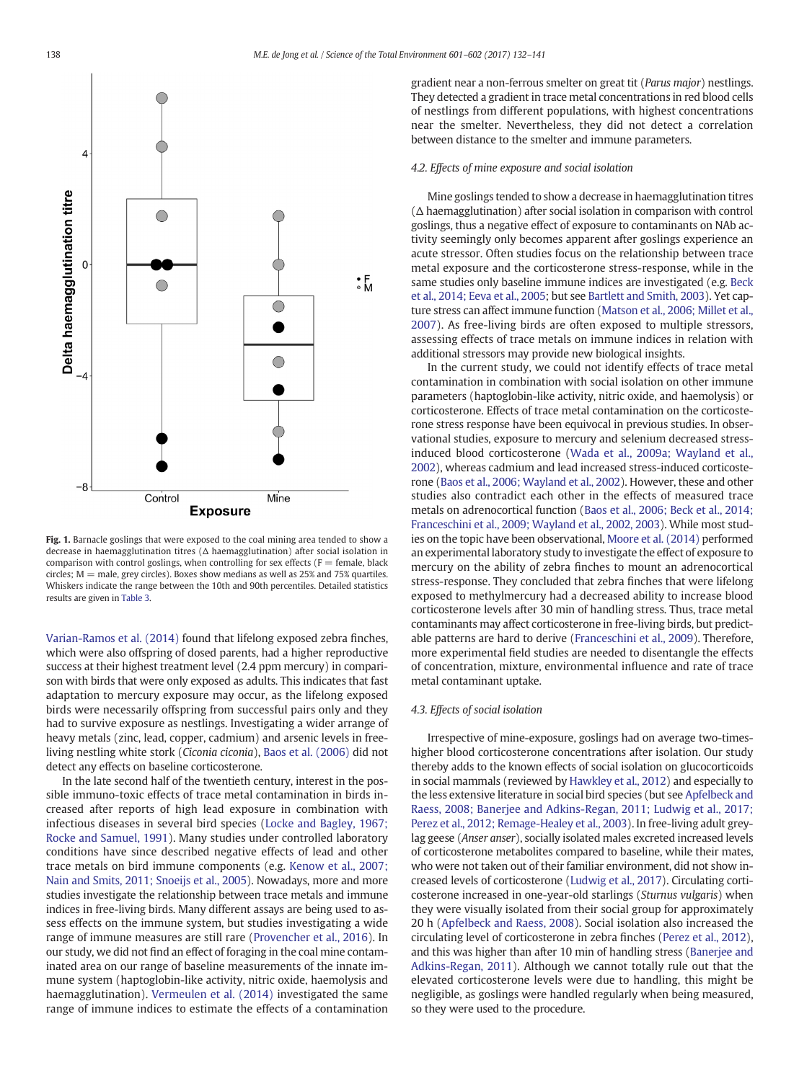<span id="page-6-0"></span>

Fig. 1. Barnacle goslings that were exposed to the coal mining area tended to show a decrease in haemagglutination titres (Δ haemagglutination) after social isolation in comparison with control goslings, when controlling for sex effects ( $F =$  female, black circles;  $M =$  male, grey circles). Boxes show medians as well as 25% and 75% quartiles. Whiskers indicate the range between the 10th and 90th percentiles. Detailed statistics results are given in [Table 3.](#page-5-0)

[Varian-Ramos et al. \(2014\)](#page-9-0) found that lifelong exposed zebra finches, which were also offspring of dosed parents, had a higher reproductive success at their highest treatment level (2.4 ppm mercury) in comparison with birds that were only exposed as adults. This indicates that fast adaptation to mercury exposure may occur, as the lifelong exposed birds were necessarily offspring from successful pairs only and they had to survive exposure as nestlings. Investigating a wider arrange of heavy metals (zinc, lead, copper, cadmium) and arsenic levels in freeliving nestling white stork (Ciconia ciconia), [Baos et al. \(2006\)](#page-7-0) did not detect any effects on baseline corticosterone.

In the late second half of the twentieth century, interest in the possible immuno-toxic effects of trace metal contamination in birds increased after reports of high lead exposure in combination with infectious diseases in several bird species ([Locke and Bagley, 1967;](#page-8-0) [Rocke and Samuel, 1991](#page-8-0)). Many studies under controlled laboratory conditions have since described negative effects of lead and other trace metals on bird immune components (e.g. [Kenow et al., 2007;](#page-8-0) [Nain and Smits, 2011; Snoeijs et al., 2005\)](#page-8-0). Nowadays, more and more studies investigate the relationship between trace metals and immune indices in free-living birds. Many different assays are being used to assess effects on the immune system, but studies investigating a wide range of immune measures are still rare [\(Provencher et al., 2016\)](#page-9-0). In our study, we did not find an effect of foraging in the coal mine contaminated area on our range of baseline measurements of the innate immune system (haptoglobin-like activity, nitric oxide, haemolysis and haemagglutination). [Vermeulen et al. \(2014\)](#page-9-0) investigated the same range of immune indices to estimate the effects of a contamination gradient near a non-ferrous smelter on great tit (Parus major) nestlings. They detected a gradient in trace metal concentrations in red blood cells of nestlings from different populations, with highest concentrations near the smelter. Nevertheless, they did not detect a correlation between distance to the smelter and immune parameters.

# 4.2. Effects of mine exposure and social isolation

Mine goslings tended to show a decrease in haemagglutination titres (Δ haemagglutination) after social isolation in comparison with control goslings, thus a negative effect of exposure to contaminants on NAb activity seemingly only becomes apparent after goslings experience an acute stressor. Often studies focus on the relationship between trace metal exposure and the corticosterone stress-response, while in the same studies only baseline immune indices are investigated (e.g. [Beck](#page-7-0) [et al., 2014; Eeva et al., 2005](#page-7-0); but see [Bartlett and Smith, 2003](#page-7-0)). Yet capture stress can affect immune function ([Matson et al., 2006; Millet et al.,](#page-8-0) [2007](#page-8-0)). As free-living birds are often exposed to multiple stressors, assessing effects of trace metals on immune indices in relation with additional stressors may provide new biological insights.

In the current study, we could not identify effects of trace metal contamination in combination with social isolation on other immune parameters (haptoglobin-like activity, nitric oxide, and haemolysis) or corticosterone. Effects of trace metal contamination on the corticosterone stress response have been equivocal in previous studies. In observational studies, exposure to mercury and selenium decreased stressinduced blood corticosterone [\(Wada et al., 2009a; Wayland et al.,](#page-9-0) [2002\)](#page-9-0), whereas cadmium and lead increased stress-induced corticosterone [\(Baos et al., 2006; Wayland et al., 2002](#page-7-0)). However, these and other studies also contradict each other in the effects of measured trace metals on adrenocortical function ([Baos et al., 2006; Beck et al., 2014;](#page-7-0) [Franceschini et al., 2009; Wayland et al., 2002, 2003](#page-7-0)). While most studies on the topic have been observational, [Moore et al. \(2014\)](#page-8-0) performed an experimental laboratory study to investigate the effect of exposure to mercury on the ability of zebra finches to mount an adrenocortical stress-response. They concluded that zebra finches that were lifelong exposed to methylmercury had a decreased ability to increase blood corticosterone levels after 30 min of handling stress. Thus, trace metal contaminants may affect corticosterone in free-living birds, but predictable patterns are hard to derive ([Franceschini et al., 2009\)](#page-8-0). Therefore, more experimental field studies are needed to disentangle the effects of concentration, mixture, environmental influence and rate of trace metal contaminant uptake.

# 4.3. Effects of social isolation

Irrespective of mine-exposure, goslings had on average two-timeshigher blood corticosterone concentrations after isolation. Our study thereby adds to the known effects of social isolation on glucocorticoids in social mammals (reviewed by [Hawkley et al., 2012\)](#page-8-0) and especially to the less extensive literature in social bird species (but see [Apfelbeck and](#page-7-0) [Raess, 2008; Banerjee and Adkins-Regan, 2011; Ludwig et al., 2017;](#page-7-0) [Perez et al., 2012; Remage-Healey et al., 2003](#page-7-0)). In free-living adult greylag geese (Anser anser), socially isolated males excreted increased levels of corticosterone metabolites compared to baseline, while their mates, who were not taken out of their familiar environment, did not show increased levels of corticosterone [\(Ludwig et al., 2017](#page-8-0)). Circulating corticosterone increased in one-year-old starlings (Sturnus vulgaris) when they were visually isolated from their social group for approximately 20 h ([Apfelbeck and Raess, 2008](#page-7-0)). Social isolation also increased the circulating level of corticosterone in zebra finches [\(Perez et al., 2012](#page-9-0)), and this was higher than after 10 min of handling stress [\(Banerjee and](#page-7-0) [Adkins-Regan, 2011](#page-7-0)). Although we cannot totally rule out that the elevated corticosterone levels were due to handling, this might be negligible, as goslings were handled regularly when being measured, so they were used to the procedure.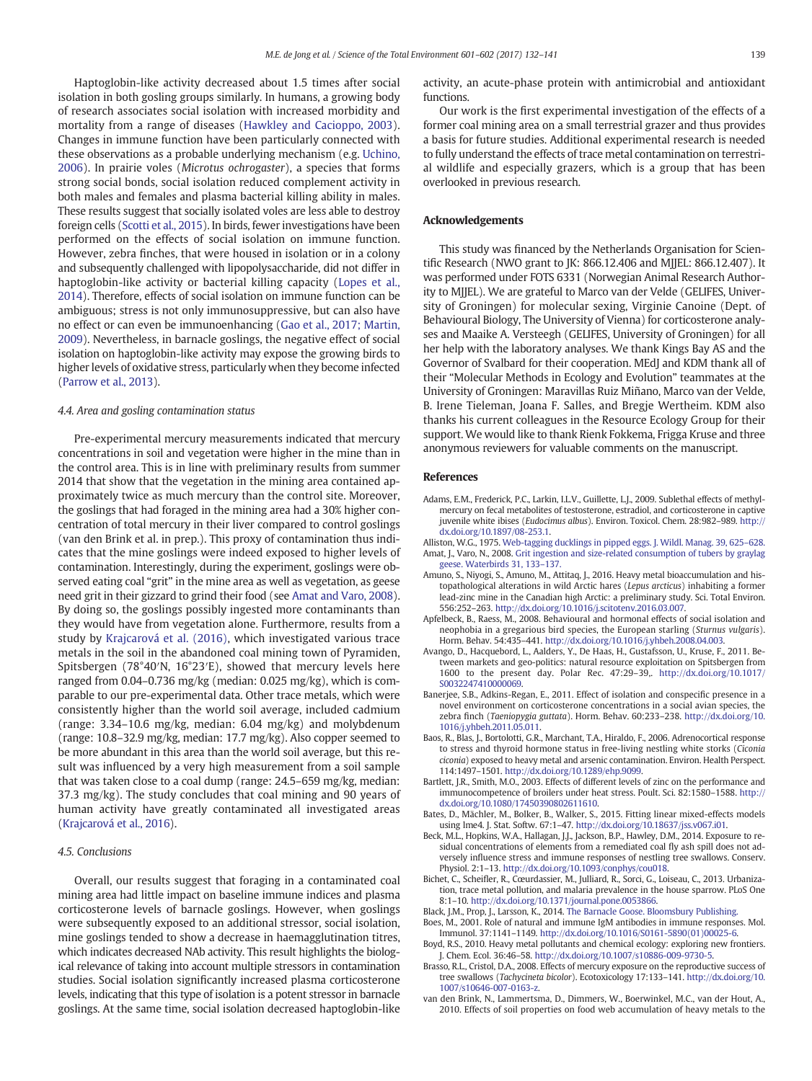<span id="page-7-0"></span>Haptoglobin-like activity decreased about 1.5 times after social isolation in both gosling groups similarly. In humans, a growing body of research associates social isolation with increased morbidity and mortality from a range of diseases ([Hawkley and Cacioppo, 2003](#page-8-0)). Changes in immune function have been particularly connected with these observations as a probable underlying mechanism (e.g. [Uchino,](#page-9-0) [2006\)](#page-9-0). In prairie voles (Microtus ochrogaster), a species that forms strong social bonds, social isolation reduced complement activity in both males and females and plasma bacterial killing ability in males. These results suggest that socially isolated voles are less able to destroy foreign cells ([Scotti et al., 2015\)](#page-9-0). In birds, fewer investigations have been performed on the effects of social isolation on immune function. However, zebra finches, that were housed in isolation or in a colony and subsequently challenged with lipopolysaccharide, did not differ in haptoglobin-like activity or bacterial killing capacity [\(Lopes et al.,](#page-8-0) [2014](#page-8-0)). Therefore, effects of social isolation on immune function can be ambiguous; stress is not only immunosuppressive, but can also have no effect or can even be immunoenhancing [\(Gao et al., 2017; Martin,](#page-8-0) [2009\)](#page-8-0). Nevertheless, in barnacle goslings, the negative effect of social isolation on haptoglobin-like activity may expose the growing birds to higher levels of oxidative stress, particularly when they become infected [\(Parrow et al., 2013](#page-9-0)).

# 4.4. Area and gosling contamination status

Pre-experimental mercury measurements indicated that mercury concentrations in soil and vegetation were higher in the mine than in the control area. This is in line with preliminary results from summer 2014 that show that the vegetation in the mining area contained approximately twice as much mercury than the control site. Moreover, the goslings that had foraged in the mining area had a 30% higher concentration of total mercury in their liver compared to control goslings (van den Brink et al. in prep.). This proxy of contamination thus indicates that the mine goslings were indeed exposed to higher levels of contamination. Interestingly, during the experiment, goslings were observed eating coal "grit" in the mine area as well as vegetation, as geese need grit in their gizzard to grind their food (see Amat and Varo, 2008). By doing so, the goslings possibly ingested more contaminants than they would have from vegetation alone. Furthermore, results from a study by [Krajcarová et al. \(2016\),](#page-8-0) which investigated various trace metals in the soil in the abandoned coal mining town of Pyramiden, Spitsbergen (78°40′N, 16°23′E), showed that mercury levels here ranged from 0.04–0.736 mg/kg (median: 0.025 mg/kg), which is comparable to our pre-experimental data. Other trace metals, which were consistently higher than the world soil average, included cadmium (range: 3.34–10.6 mg/kg, median: 6.04 mg/kg) and molybdenum (range: 10.8–32.9 mg/kg, median: 17.7 mg/kg). Also copper seemed to be more abundant in this area than the world soil average, but this result was influenced by a very high measurement from a soil sample that was taken close to a coal dump (range: 24.5–659 mg/kg, median: 37.3 mg/kg). The study concludes that coal mining and 90 years of human activity have greatly contaminated all investigated areas [\(Krajcarová et al., 2016](#page-8-0)).

#### 4.5. Conclusions

Overall, our results suggest that foraging in a contaminated coal mining area had little impact on baseline immune indices and plasma corticosterone levels of barnacle goslings. However, when goslings were subsequently exposed to an additional stressor, social isolation, mine goslings tended to show a decrease in haemagglutination titres, which indicates decreased NAb activity. This result highlights the biological relevance of taking into account multiple stressors in contamination studies. Social isolation significantly increased plasma corticosterone levels, indicating that this type of isolation is a potent stressor in barnacle goslings. At the same time, social isolation decreased haptoglobin-like activity, an acute-phase protein with antimicrobial and antioxidant functions.

Our work is the first experimental investigation of the effects of a former coal mining area on a small terrestrial grazer and thus provides a basis for future studies. Additional experimental research is needed to fully understand the effects of trace metal contamination on terrestrial wildlife and especially grazers, which is a group that has been overlooked in previous research.

# Acknowledgements

This study was financed by the Netherlands Organisation for Scientific Research (NWO grant to JK: 866.12.406 and MJJEL: 866.12.407). It was performed under FOTS 6331 (Norwegian Animal Research Authority to MJJEL). We are grateful to Marco van der Velde (GELIFES, University of Groningen) for molecular sexing, Virginie Canoine (Dept. of Behavioural Biology, The University of Vienna) for corticosterone analyses and Maaike A. Versteegh (GELIFES, University of Groningen) for all her help with the laboratory analyses. We thank Kings Bay AS and the Governor of Svalbard for their cooperation. MEdJ and KDM thank all of their "Molecular Methods in Ecology and Evolution" teammates at the University of Groningen: Maravillas Ruiz Miñano, Marco van der Velde, B. Irene Tieleman, Joana F. Salles, and Bregje Wertheim. KDM also thanks his current colleagues in the Resource Ecology Group for their support. We would like to thank Rienk Fokkema, Frigga Kruse and three anonymous reviewers for valuable comments on the manuscript.

#### References

- Adams, E.M., Frederick, P.C., Larkin, I.L.V., Guillette, L.J., 2009. Sublethal effects of methylmercury on fecal metabolites of testosterone, estradiol, and corticosterone in captive juvenile white ibises (Eudocimus albus). Environ. Toxicol. Chem. 28:982–989. http:// dx.doi.org/[10.1897/08-253.1.](http://dx.doi.org/10.1897/08-253.1)
- Alliston, W.G., 1975. [Web-tagging ducklings in pipped eggs. J. Wildl. Manag. 39, 625](http://refhub.elsevier.com/S0048-9697(17)31290-1/rf0010)–628. Amat, J., Varo, N., 2008. [Grit ingestion and size-related consumption of tubers by graylag](http://refhub.elsevier.com/S0048-9697(17)31290-1/rf0015) [geese. Waterbirds 31, 133](http://refhub.elsevier.com/S0048-9697(17)31290-1/rf0015)–137.
- Amuno, S., Niyogi, S., Amuno, M., Attitaq, J., 2016. Heavy metal bioaccumulation and histopathological alterations in wild Arctic hares (Lepus arcticus) inhabiting a former lead-zinc mine in the Canadian high Arctic: a preliminary study. Sci. Total Environ. 556:252–263. http://dx.doi.org[/10.1016/j.scitotenv.2016.03.007.](http://dx.doi.org/10.1016/j.scitotenv.2016.03.007)
- Apfelbeck, B., Raess, M., 2008. Behavioural and hormonal effects of social isolation and neophobia in a gregarious bird species, the European starling (Sturnus vulgaris). Horm. Behav. 54:435–441. http://dx.doi.org/[10.1016/j.yhbeh.2008.04.003.](http://dx.doi.org/10.1016/j.yhbeh.2008.04.003)
- Avango, D., Hacquebord, L., Aalders, Y., De Haas, H., Gustafsson, U., Kruse, F., 2011. Between markets and geo-politics: natural resource exploitation on Spitsbergen from 1600 to the present day. Polar Rec. 47:29–39,. http://dx.doi.org/10.1017/ S0032247410000069.
- Banerjee, S.B., Adkins-Regan, E., 2011. Effect of isolation and conspecific presence in a novel environment on corticosterone concentrations in a social avian species, the zebra finch (Taeniopygia guttata). Horm. Behav. 60:233–238. http://dx.doi.org/[10.](http://dx.doi.org/10.1016/j.yhbeh.2011.05.011) [1016/j.yhbeh.2011.05.011.](http://dx.doi.org/10.1016/j.yhbeh.2011.05.011)
- Baos, R., Blas, J., Bortolotti, G.R., Marchant, T.A., Hiraldo, F., 2006. Adrenocortical response to stress and thyroid hormone status in free-living nestling white storks (Ciconia ciconia) exposed to heavy metal and arsenic contamination. Environ. Health Perspect. 114:1497–1501. http://dx.doi.org[/10.1289/ehp.9099](http://dx.doi.org/10.1289/ehp.9099).
- Bartlett, J.R., Smith, M.O., 2003. Effects of different levels of zinc on the performance and immunocompetence of broilers under heat stress. Poult. Sci. 82:1580–1588. http:// dx.doi.org/[10.1080/17450390802611610](http://dx.doi.org/10.1080/17450390802611610).
- Bates, D., Mächler, M., Bolker, B., Walker, S., 2015. Fitting linear mixed-effects models using lme4. J. Stat. Softw. 67:1–47. http://dx.doi.org[/10.18637/jss.v067.i01.](http://dx.doi.org/10.18637/jss.v067.i01)
- Beck, M.L., Hopkins, W.A., Hallagan, J.J., Jackson, B.P., Hawley, D.M., 2014. Exposure to residual concentrations of elements from a remediated coal fly ash spill does not adversely influence stress and immune responses of nestling tree swallows. Conserv. Physiol. 2:1–13. http://dx.doi.org[/10.1093/conphys/cou018](http://dx.doi.org/10.1093/conphys/cou018).
- Bichet, C., Scheifler, R., Cœurdassier, M., Julliard, R., Sorci, G., Loiseau, C., 2013. Urbanization, trace metal pollution, and malaria prevalence in the house sparrow. PLoS One 8:1–10. http://dx.doi.org[/10.1371/journal.pone.0053866](http://dx.doi.org/10.1371/journal.pone.0053866).
- Black, J.M., Prop, J., Larsson, K., 2014. [The Barnacle Goose. Bloomsbury Publishing](http://refhub.elsevier.com/S0048-9697(17)31290-1/rf0060).
- Boes, M., 2001. Role of natural and immune IgM antibodies in immune responses. Mol. Immunol. 37:1141–1149. http://dx.doi.org[/10.1016/S0161-5890\(01\)00025-6](http://dx.doi.org/10.1016/S0161-5890(01)00025-6).
- Boyd, R.S., 2010. Heavy metal pollutants and chemical ecology: exploring new frontiers. J. Chem. Ecol. 36:46–58. http://dx.doi.org[/10.1007/s10886-009-9730-5](http://dx.doi.org/10.1007/s10886-009-9730-5).
- Brasso, R.L., Cristol, D.A., 2008. Effects of mercury exposure on the reproductive success of tree swallows (Tachycineta bicolor). Ecotoxicology 17:133–141. http://dx.doi.org[/10.](http://dx.doi.org/10.1007/s10646-007-0163-z) [1007/s10646-007-0163-z.](http://dx.doi.org/10.1007/s10646-007-0163-z)
- van den Brink, N., Lammertsma, D., Dimmers, W., Boerwinkel, M.C., van der Hout, A., 2010. Effects of soil properties on food web accumulation of heavy metals to the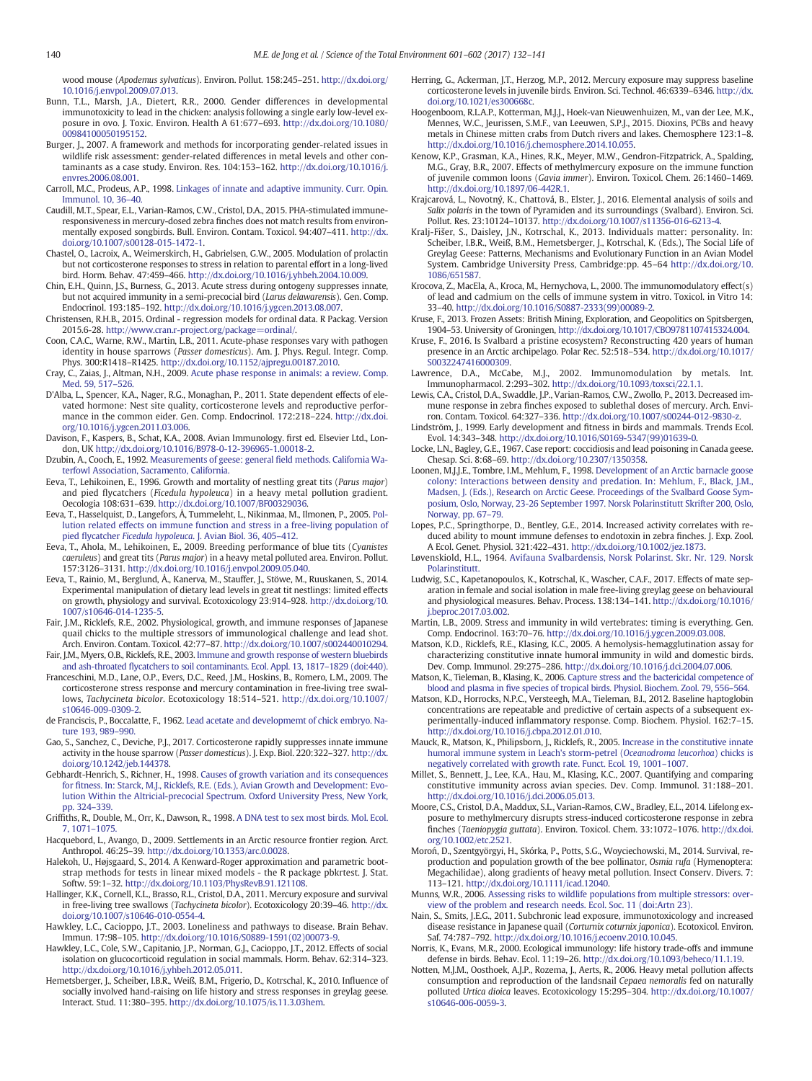<span id="page-8-0"></span>wood mouse (Apodemus sylvaticus). Environ. Pollut. 158:245–251. http://dx.doi.org/ [10.1016/j.envpol.2009.07.013](http://dx.doi.org/10.1016/j.envpol.2009.07.013).

- Bunn, T.L., Marsh, J.A., Dietert, R.R., 2000. Gender differences in developmental immunotoxicity to lead in the chicken: analysis following a single early low-level exposure in ovo. J. Toxic. Environ. Health A 61:677–693. http://dx.doi.org/[10.1080/](http://dx.doi.org/10.1080/00984100050195152) [00984100050195152](http://dx.doi.org/10.1080/00984100050195152).
- Burger, J., 2007. A framework and methods for incorporating gender-related issues in wildlife risk assessment: gender-related differences in metal levels and other contaminants as a case study. Environ. Res. 104:153–162. http://dx.doi.org/[10.1016/j.](http://dx.doi.org/10.1016/j.envres.2006.08.001) [envres.2006.08.001.](http://dx.doi.org/10.1016/j.envres.2006.08.001)
- Carroll, M.C., Prodeus, A.P., 1998. [Linkages of innate and adaptive immunity. Curr. Opin.](http://refhub.elsevier.com/S0048-9697(17)31290-1/rf0095) [Immunol. 10, 36](http://refhub.elsevier.com/S0048-9697(17)31290-1/rf0095)–40.
- Caudill, M.T., Spear, E.L., Varian-Ramos, C.W., Cristol, D.A., 2015. PHA-stimulated immuneresponsiveness in mercury-dosed zebra finches does not match results from environmentally exposed songbirds. Bull. Environ. Contam. Toxicol. 94:407–411. http://dx. doi.org/[10.1007/s00128-015-1472-1.](http://dx.doi.org/10.1007/s00128-015-1472-1)
- Chastel, O., Lacroix, A., Weimerskirch, H., Gabrielsen, G.W., 2005. Modulation of prolactin but not corticosterone responses to stress in relation to parental effort in a long-lived bird. Horm. Behav. 47:459–466. http://dx.doi.org/[10.1016/j.yhbeh.2004.10.009.](http://dx.doi.org/10.1016/j.yhbeh.2004.10.009)
- Chin, E.H., Quinn, J.S., Burness, G., 2013. Acute stress during ontogeny suppresses innate, but not acquired immunity in a semi-precocial bird (Larus delawarensis). Gen. Comp. Endocrinol. 193:185–192. http://dx.doi.org[/10.1016/j.ygcen.2013.08.007](http://dx.doi.org/10.1016/j.ygcen.2013.08.007).
- Christensen, R.H.B., 2015. Ordinal regression models for ordinal data. R Packag. Version 2015.6-28. <http://www.cran.r-project.org/package=ordinal/>.
- Coon, C.A.C., Warne, R.W., Martin, L.B., 2011. Acute-phase responses vary with pathogen identity in house sparrows (Passer domesticus). Am. J. Phys. Regul. Integr. Comp. Phys. 300:R1418–R1425. http://dx.doi.org/[10.1152/ajpregu.00187.2010.](http://dx.doi.org/10.1152/ajpregu.00187.2010)
- Cray, C., Zaias, J., Altman, N.H., 2009. [Acute phase response in animals: a review. Comp.](http://refhub.elsevier.com/S0048-9697(17)31290-1/rf0125) [Med. 59, 517](http://refhub.elsevier.com/S0048-9697(17)31290-1/rf0125)–526.
- D'Alba, L., Spencer, K.A., Nager, R.G., Monaghan, P., 2011. State dependent effects of elevated hormone: Nest site quality, corticosterone levels and reproductive performance in the common eider. Gen. Comp. Endocrinol. 172:218–224. http://dx.doi. org[/10.1016/j.ygcen.2011.03.006](http://dx.doi.org/10.1016/j.ygcen.2011.03.006).
- Davison, F., Kaspers, B., Schat, K.A., 2008. Avian Immunology. first ed. Elsevier Ltd., London, UK http://dx.doi.org[/10.1016/B978-0-12-396965-1.00018-2](http://dx.doi.org/10.1016/B978-0-12-396965-1.00018-2).
- Dzubin, A., Cooch, E., 1992. [Measurements of geese: general](http://refhub.elsevier.com/S0048-9697(17)31290-1/rf0140) field methods. California Wa[terfowl Association, Sacramento, California](http://refhub.elsevier.com/S0048-9697(17)31290-1/rf0140).
- Eeva, T., Lehikoinen, E., 1996. Growth and mortality of nestling great tits (Parus major) and pied flycatchers (Ficedula hypoleuca) in a heavy metal pollution gradient. Oecologia 108:631–639. http://dx.doi.org/[10.1007/BF00329036](http://dx.doi.org/10.1007/BF00329036).
- Eeva, T., Hasselquist, D., Langefors, Å, Tummeleht, L., Nikinmaa, M., Ilmonen, P., 2005. [Pol](http://refhub.elsevier.com/S0048-9697(17)31290-1/rf2060)[lution related effects on immune function and stress in a free-living population of](http://refhub.elsevier.com/S0048-9697(17)31290-1/rf2060) pied flycatcher Ficedula hypoleuca[. J. Avian Biol. 36, 405](http://refhub.elsevier.com/S0048-9697(17)31290-1/rf2060)–412.
- Eeva, T., Ahola, M., Lehikoinen, E., 2009. Breeding performance of blue tits (Cyanistes caeruleus) and great tits (Parus major) in a heavy metal polluted area. Environ. Pollut. 157:3126–3131. http://dx.doi.org/[10.1016/j.envpol.2009.05.040.](http://dx.doi.org/10.1016/j.envpol.2009.05.040)
- Eeva, T., Rainio, M., Berglund, Å., Kanerva, M., Stauffer, J., Stöwe, M., Ruuskanen, S., 2014. Experimental manipulation of dietary lead levels in great tit nestlings: limited effects on growth, physiology and survival. Ecotoxicology 23:914–928. http://dx.doi.org[/10.](http://dx.doi.org/10.1007/s10646-014-1235-5) [1007/s10646-014-1235-5.](http://dx.doi.org/10.1007/s10646-014-1235-5)
- Fair, J.M., Ricklefs, R.E., 2002. Physiological, growth, and immune responses of Japanese quail chicks to the multiple stressors of immunological challenge and lead shot. Arch. Environ. Contam. Toxicol. 42:77–87. http://dx.doi.org[/10.1007/s002440010294](http://dx.doi.org/10.1007/s002440010294).
- Fair, J.M., Myers, O.B., Ricklefs, R.E., 2003. [Immune and growth response of western bluebirds](http://refhub.elsevier.com/S0048-9697(17)31290-1/rf0165) and ash-throated fl[ycatchers to soil contaminants. Ecol. Appl. 13, 1817](http://refhub.elsevier.com/S0048-9697(17)31290-1/rf0165)–1829 (doi:440).
- Franceschini, M.D., Lane, O.P., Evers, D.C., Reed, J.M., Hoskins, B., Romero, L.M., 2009. The corticosterone stress response and mercury contamination in free-living tree swallows, Tachycineta bicolor. Ecotoxicology 18:514–521. http://dx.doi.org/[10.1007/](http://dx.doi.org/10.1007/s10646-009-0309-2) [s10646-009-0309-2](http://dx.doi.org/10.1007/s10646-009-0309-2).
- de Franciscis, P., Boccalatte, F., 1962. [Lead acetate and developmemt of chick embryo. Na](http://refhub.elsevier.com/S0048-9697(17)31290-1/rf0175)[ture 193, 989](http://refhub.elsevier.com/S0048-9697(17)31290-1/rf0175)–990.
- Gao, S., Sanchez, C., Deviche, P.J., 2017. Corticosterone rapidly suppresses innate immune activity in the house sparrow (Passer domesticus). J. Exp. Biol. 220:322–327. http://dx. doi.org/[10.1242/jeb.144378.](http://dx.doi.org/10.1242/jeb.144378)
- Gebhardt-Henrich, S., Richner, H., 1998. [Causes of growth variation and its consequences](http://refhub.elsevier.com/S0048-9697(17)31290-1/rf0185) for fi[tness. In: Starck, M.J., Ricklefs, R.E. \(Eds.\), Avian Growth and Development: Evo](http://refhub.elsevier.com/S0048-9697(17)31290-1/rf0185)[lution Within the Altricial-precocial Spectrum. Oxford University Press, New York,](http://refhub.elsevier.com/S0048-9697(17)31290-1/rf0185) [pp. 324](http://refhub.elsevier.com/S0048-9697(17)31290-1/rf0185)–339.
- Griffiths, R., Double, M., Orr, K., Dawson, R., 1998. [A DNA test to sex most birds. Mol. Ecol.](http://refhub.elsevier.com/S0048-9697(17)31290-1/rf0190) [7, 1071](http://refhub.elsevier.com/S0048-9697(17)31290-1/rf0190)–1075.
- Hacquebord, L., Avango, D., 2009. Settlements in an Arctic resource frontier region. Arct. Anthropol. 46:25–39. http://dx.doi.org/[10.1353/arc.0.0028.](http://dx.doi.org/10.1353/arc.0.0028)
- Halekoh, U., Højsgaard, S., 2014. A Kenward-Roger approximation and parametric bootstrap methods for tests in linear mixed models - the R package pbkrtest. J. Stat. Softw. 59:1–32. http://dx.doi.org/[10.1103/PhysRevB.91.121108](http://dx.doi.org/10.1103/PhysRevB.91.121108).
- Hallinger, K.K., Cornell, K.L., Brasso, R.L., Cristol, D.A., 2011. Mercury exposure and survival in free-living tree swallows (Tachycineta bicolor). Ecotoxicology 20:39–46. http://dx. doi.org/[10.1007/s10646-010-0554-4.](http://dx.doi.org/10.1007/s10646-010-0554-4)
- Hawkley, L.C., Cacioppo, J.T., 2003. Loneliness and pathways to disease. Brain Behav. Immun. 17:98–105. http://dx.doi.org[/10.1016/S0889-1591\(02\)00073-9.](http://dx.doi.org/10.1016/S0889-1591(02)00073-9)
- Hawkley, L.C., Cole, S.W., Capitanio, J.P., Norman, G.J., Cacioppo, J.T., 2012. Effects of social isolation on glucocorticoid regulation in social mammals. Horm. Behav. 62:314–323. http://dx.doi.org[/10.1016/j.yhbeh.2012.05.011](http://dx.doi.org/10.1016/j.yhbeh.2012.05.011).
- Hemetsberger, J., Scheiber, I.B.R., Weiß, B.M., Frigerio, D., Kotrschal, K., 2010. Influence of socially involved hand-raising on life history and stress responses in greylag geese. Interact. Stud. 11:380–395. http://dx.doi.org[/10.1075/is.11.3.03hem.](http://dx.doi.org/10.1075/is.11.3.03hem)
- Herring, G., Ackerman, J.T., Herzog, M.P., 2012. Mercury exposure may suppress baseline corticosterone levels in juvenile birds. Environ. Sci. Technol. 46:6339–6346. http://dx. doi.org/[10.1021/es300668c.](http://dx.doi.org/10.1021/es300668c)
- Hoogenboom, R.L.A.P., Kotterman, M.J.J., Hoek-van Nieuwenhuizen, M., van der Lee, M.K., Mennes, W.C., Jeurissen, S.M.F., van Leeuwen, S.P.J., 2015. Dioxins, PCBs and heavy metals in Chinese mitten crabs from Dutch rivers and lakes. Chemosphere 123:1–8. http://dx.doi.org[/10.1016/j.chemosphere.2014.10.055.](http://dx.doi.org/10.1016/j.chemosphere.2014.10.055)
- Kenow, K.P., Grasman, K.A., Hines, R.K., Meyer, M.W., Gendron-Fitzpatrick, A., Spalding, M.G., Gray, B.R., 2007. Effects of methylmercury exposure on the immune function of juvenile common loons (Gavia immer). Environ. Toxicol. Chem. 26:1460–1469. http://dx.doi.org[/10.1897/06-442R.1](http://dx.doi.org/10.1897/06-442R.1).
- Krajcarová, L., Novotný, K., Chattová, B., Elster, J., 2016. Elemental analysis of soils and Salix polaris in the town of Pyramiden and its surroundings (Svalbard). Environ. Sci. Pollut. Res. 23:10124–10137. http://dx.doi.org/[10.1007/s11356-016-6213-4](http://dx.doi.org/10.1007/s11356-016-6213-4).
- Kralj-Fišer, S., Daisley, J.N., Kotrschal, K., 2013. Individuals matter: personality. In: Scheiber, I.B.R., Weiß, B.M., Hemetsberger, J., Kotrschal, K. (Eds.), The Social Life of Greylag Geese: Patterns, Mechanisms and Evolutionary Function in an Avian Model System. Cambridge University Press, Cambridge:pp. 45–64 http://dx.doi.org/[10.](http://dx.doi.org/10.1086/651587) [1086/651587](http://dx.doi.org/10.1086/651587).
- Krocova, Z., MacEla, A., Kroca, M., Hernychova, L., 2000. The immunomodulatory effect(s) of lead and cadmium on the cells of immune system in vitro. Toxicol. in Vitro 14: 33–40. http://dx.doi.org/[10.1016/S0887-2333\(99\)00089-2.](http://dx.doi.org/10.1016/S0887-2333(99)00089-2)
- Kruse, F., 2013. Frozen Assets: British Mining, Exploration, and Geopolitics on Spitsbergen, 1904–53. University of Groningen, http://dx.doi.org/[10.1017/CBO9781107415324.004.](http://dx.doi.org/10.1017/CBO9781107415324.004)
- Kruse, F., 2016. Is Svalbard a pristine ecosystem? Reconstructing 420 years of human presence in an Arctic archipelago. Polar Rec. 52:518–534. http://dx.doi.org/[10.1017/](http://dx.doi.org/10.1017/S0032247416000309) [S0032247416000309.](http://dx.doi.org/10.1017/S0032247416000309)
- Lawrence, D.A., McCabe, M.J., 2002. Immunomodulation by metals. Int. Immunopharmacol. 2:293–302. http://dx.doi.org[/10.1093/toxsci/22.1.1](http://dx.doi.org/10.1093/toxsci/22.1.1).
- Lewis, C.A., Cristol, D.A., Swaddle, J.P., Varian-Ramos, C.W., Zwollo, P., 2013. Decreased immune response in zebra finches exposed to sublethal doses of mercury. Arch. Environ. Contam. Toxicol. 64:327–336. http://dx.doi.org/[10.1007/s00244-012-9830-z](http://dx.doi.org/10.1007/s00244-012-9830-z).
- Lindström, J., 1999. Early development and fitness in birds and mammals. Trends Ecol. Evol. 14:343–348. http://dx.doi.org[/10.1016/S0169-5347\(99\)01639-0.](http://dx.doi.org/10.1016/S0169-5347(99)01639-0)
- Locke, L.N., Bagley, G.E., 1967. Case report: coccidiosis and lead poisoning in Canada geese. Chesap. Sci. 8:68–69. http://dx.doi.org/[10.2307/1350358.](http://dx.doi.org/10.2307/1350358)
- Loonen, M.J.J.E., Tombre, I.M., Mehlum, F., 1998. [Development of an Arctic barnacle goose](http://refhub.elsevier.com/S0048-9697(17)31290-1/rf2075) [colony: Interactions between density and predation. In: Mehlum, F., Black, J.M.,](http://refhub.elsevier.com/S0048-9697(17)31290-1/rf2075) [Madsen, J. \(Eds.\), Research on Arctic Geese. Proceedings of the Svalbard Goose Sym](http://refhub.elsevier.com/S0048-9697(17)31290-1/rf2075)[posium, Oslo, Norway, 23-26 September 1997. Norsk Polarinstitutt Skrifter 200, Oslo,](http://refhub.elsevier.com/S0048-9697(17)31290-1/rf2075) [Norway, pp. 67](http://refhub.elsevier.com/S0048-9697(17)31290-1/rf2075)–79.
- Lopes, P.C., Springthorpe, D., Bentley, G.E., 2014. Increased activity correlates with reduced ability to mount immune defenses to endotoxin in zebra finches. J. Exp. Zool. A Ecol. Genet. Physiol. 321:422–431. http://dx.doi.org[/10.1002/jez.1873](http://dx.doi.org/10.1002/jez.1873).
- Løvenskiold, H.L., 1964. [Avifauna Svalbardensis, Norsk Polarinst. Skr. Nr. 129. Norsk](http://refhub.elsevier.com/S0048-9697(17)31290-1/rf0295) [Polarinstitutt.](http://refhub.elsevier.com/S0048-9697(17)31290-1/rf0295)
- Ludwig, S.C., Kapetanopoulos, K., Kotrschal, K., Wascher, C.A.F., 2017. Effects of mate separation in female and social isolation in male free-living greylag geese on behavioural and physiological measures. Behav. Process. 138:134–141. http://dx.doi.org/[10.1016/](http://dx.doi.org/10.1016/j.beproc.2017.03.002) [j.beproc.2017.03.002](http://dx.doi.org/10.1016/j.beproc.2017.03.002).
- Martin, L.B., 2009. Stress and immunity in wild vertebrates: timing is everything. Gen. Comp. Endocrinol. 163:70–76. http://dx.doi.org[/10.1016/j.ygcen.2009.03.008.](http://dx.doi.org/10.1016/j.ygcen.2009.03.008)
- Matson, K.D., Ricklefs, R.E., Klasing, K.C., 2005. A hemolysis-hemagglutination assay for characterizing constitutive innate humoral immunity in wild and domestic birds. Dev. Comp. Immunol. 29:275–286. http://dx.doi.org[/10.1016/j.dci.2004.07.006.](http://dx.doi.org/10.1016/j.dci.2004.07.006)
- Matson, K., Tieleman, B., Klasing, K., 2006. [Capture stress and the bactericidal competence of](http://refhub.elsevier.com/S0048-9697(17)31290-1/rf0315) blood and plasma in fi[ve species of tropical birds. Physiol. Biochem. Zool. 79, 556](http://refhub.elsevier.com/S0048-9697(17)31290-1/rf0315)–564.
- Matson, K.D., Horrocks, N.P.C., Versteegh, M.A., Tieleman, B.I., 2012. Baseline haptoglobin concentrations are repeatable and predictive of certain aspects of a subsequent experimentally-induced inflammatory response. Comp. Biochem. Physiol. 162:7–15. http://dx.doi.org[/10.1016/j.cbpa.2012.01.010.](http://dx.doi.org/10.1016/j.cbpa.2012.01.010)
- Mauck, R., Matson, K., Philipsborn, J., Ricklefs, R., 2005. [Increase in the constitutive innate](http://refhub.elsevier.com/S0048-9697(17)31290-1/rf0325) [humoral immune system in Leach's storm-petrel \(](http://refhub.elsevier.com/S0048-9697(17)31290-1/rf0325)Oceanodroma leucorhoa) chicks is [negatively correlated with growth rate. Funct. Ecol. 19, 1001](http://refhub.elsevier.com/S0048-9697(17)31290-1/rf0325)–1007.
- Millet, S., Bennett, J., Lee, K.A., Hau, M., Klasing, K.C., 2007. Quantifying and comparing constitutive immunity across avian species. Dev. Comp. Immunol. 31:188–201. http://dx.doi.org[/10.1016/j.dci.2006.05.013.](http://dx.doi.org/10.1016/j.dci.2006.05.013)
- Moore, C.S., Cristol, D.A., Maddux, S.L., Varian-Ramos, C.W., Bradley, E.L., 2014. Lifelong exposure to methylmercury disrupts stress-induced corticosterone response in zebra finches (Taeniopygia guttata). Environ. Toxicol. Chem. 33:1072–1076. http://dx.doi. org[/10.1002/etc.2521](http://dx.doi.org/10.1002/etc.2521).
- Moroń, D., Szentgyörgyi, H., Skórka, P., Potts, S.G., Woyciechowski, M., 2014. Survival, reproduction and population growth of the bee pollinator, Osmia rufa (Hymenoptera: Megachilidae), along gradients of heavy metal pollution. Insect Conserv. Divers. 7: 113–121. http://dx.doi.org/[10.1111/icad.12040](http://dx.doi.org/10.1111/icad.12040).
- Munns, W.R., 2006. [Assessing risks to wildlife populations from multiple stressors: over](http://refhub.elsevier.com/S0048-9697(17)31290-1/rf0345)[view of the problem and research needs. Ecol. Soc. 11 \(doi:Artn 23\).](http://refhub.elsevier.com/S0048-9697(17)31290-1/rf0345)
- Nain, S., Smits, J.E.G., 2011. Subchronic lead exposure, immunotoxicology and increased disease resistance in Japanese quail (Corturnix coturnix japonica). Ecotoxicol. Environ. Saf. 74:787–792. http://dx.doi.org[/10.1016/j.ecoenv.2010.10.045.](http://dx.doi.org/10.1016/j.ecoenv.2010.10.045)
- Norris, K., Evans, M.R., 2000. Ecological immunology: life history trade-offs and immune defense in birds. Behav. Ecol. 11:19–26. http://dx.doi.org/[10.1093/beheco/11.1.19](http://dx.doi.org/10.1093/beheco/11.1.19).
- Notten, M.J.M., Oosthoek, A.J.P., Rozema, J., Aerts, R., 2006. Heavy metal pollution affects consumption and reproduction of the landsnail Cepaea nemoralis fed on naturally polluted Urtica dioica leaves. Ecotoxicology 15:295–304. http://dx.doi.org[/10.1007/](http://dx.doi.org/10.1007/s10646-006-0059-3) [s10646-006-0059-3](http://dx.doi.org/10.1007/s10646-006-0059-3).